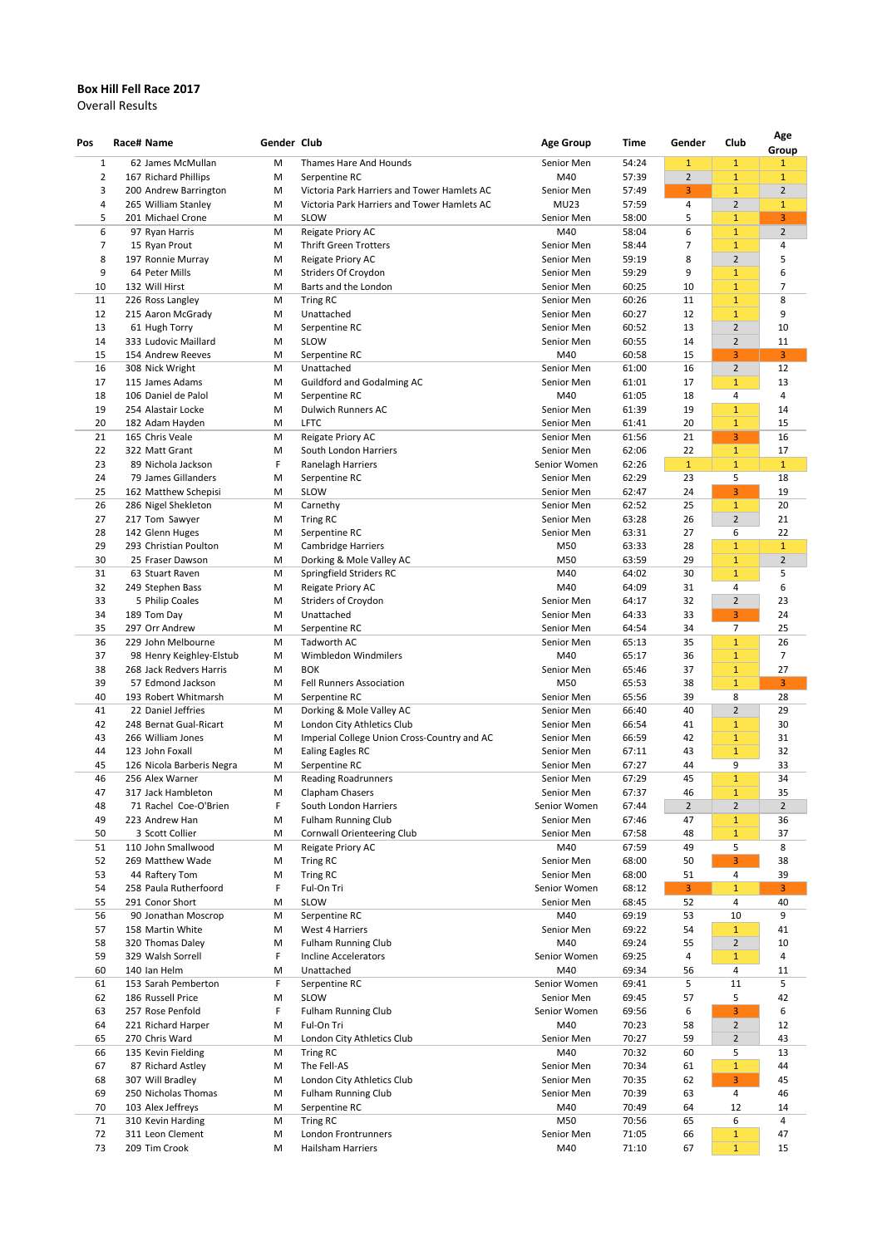## **Box Hill Fell Race 2017**

Overall Results

| Pos            | Race# Name |                                             | Gender Club |                                                                        | <b>Age Group</b>           | Time           | Gender         | Club                         | Age                   |
|----------------|------------|---------------------------------------------|-------------|------------------------------------------------------------------------|----------------------------|----------------|----------------|------------------------------|-----------------------|
| $\mathbf{1}$   |            | 62 James McMullan                           | M           | Thames Hare And Hounds                                                 | Senior Men                 | 54:24          | $\mathbf{1}$   | $\mathbf{1}$                 | Group<br>$\mathbf{1}$ |
| $\overline{2}$ |            | 167 Richard Phillips                        | M           | Serpentine RC                                                          | M40                        | 57:39          | $\overline{2}$ | $\mathbf{1}$                 | $\mathbf{1}$          |
| 3              |            | 200 Andrew Barrington                       | M           | Victoria Park Harriers and Tower Hamlets AC                            | Senior Men                 | 57:49          | 3              | $\mathbf{1}$                 | $\overline{2}$        |
| 4              |            | 265 William Stanley                         | M           | Victoria Park Harriers and Tower Hamlets AC                            | <b>MU23</b>                | 57:59          | 4              | $\overline{2}$               | $\mathbf{1}$          |
| 5              |            | 201 Michael Crone                           | M           | <b>SLOW</b>                                                            | Senior Men                 | 58:00          | 5.             | $\mathbf{1}$                 | 3                     |
| 6              |            | 97 Ryan Harris                              | M           | Reigate Priory AC                                                      | M40                        | 58:04          | 6              | 1                            | $\overline{2}$        |
| 7              |            | 15 Ryan Prout                               | M           | <b>Thrift Green Trotters</b>                                           | Senior Men                 | 58:44          | 7              | $\mathbf{1}$                 | 4                     |
| 8              |            | 197 Ronnie Murray                           | M           | Reigate Priory AC                                                      | Senior Men                 | 59:19          | 8              | $\overline{2}$               | 5                     |
| 9<br>10        |            | 64 Peter Mills<br>132 Will Hirst            | M<br>M      | <b>Striders Of Croydon</b><br>Barts and the London                     | Senior Men<br>Senior Men   | 59:29<br>60:25 | 9<br>10        | $\mathbf{1}$<br>$\mathbf{1}$ | 6<br>7                |
| 11             |            | 226 Ross Langley                            | M           | <b>Tring RC</b>                                                        | Senior Men                 | 60:26          | 11             | $\mathbf{1}$                 | 8                     |
| 12             |            | 215 Aaron McGrady                           | M           | Unattached                                                             | Senior Men                 | 60:27          | 12             | $\mathbf{1}$                 | 9                     |
| 13             |            | 61 Hugh Torry                               | M           | Serpentine RC                                                          | Senior Men                 | 60:52          | 13             | $\overline{2}$               | 10                    |
| 14             |            | 333 Ludovic Maillard                        | M           | SLOW                                                                   | Senior Men                 | 60:55          | 14             | $\overline{2}$               | 11                    |
| 15             |            | 154 Andrew Reeves                           | M           | Serpentine RC                                                          | M40                        | 60:58          | 15             | 3                            | 3                     |
| 16             |            | 308 Nick Wright                             | M           | Unattached                                                             | Senior Men                 | 61:00          | 16             | $\overline{2}$               | 12                    |
| 17             |            | 115 James Adams                             | M           | <b>Guildford and Godalming AC</b>                                      | Senior Men                 | 61:01          | 17             | $\mathbf{1}$                 | 13                    |
| 18             |            | 106 Daniel de Palol                         | M           | Serpentine RC                                                          | M40                        | 61:05          | 18             | 4                            | 4                     |
| 19             |            | 254 Alastair Locke                          | M           | <b>Dulwich Runners AC</b>                                              | Senior Men                 | 61:39          | 19             | $\mathbf{1}$                 | 14                    |
| 20<br>21       |            | 182 Adam Hayden<br>165 Chris Veale          | M<br>M      | <b>LFTC</b><br>Reigate Priory AC                                       | Senior Men<br>Senior Men   | 61:41<br>61:56 | 20<br>21       | $\mathbf{1}$<br>3            | 15<br>16              |
| 22             |            | 322 Matt Grant                              | M           | South London Harriers                                                  | Senior Men                 | 62:06          | 22             | $\mathbf{1}$                 | 17                    |
| 23             |            | 89 Nichola Jackson                          | F           | Ranelagh Harriers                                                      | Senior Women               | 62:26          | $\mathbf{1}$   | $\mathbf{1}$                 | $\mathbf{1}$          |
| 24             |            | 79 James Gillanders                         | M           | Serpentine RC                                                          | Senior Men                 | 62:29          | 23             | 5                            | 18                    |
| 25             |            | 162 Matthew Schepisi                        | M           | SLOW                                                                   | Senior Men                 | 62:47          | 24             | 3                            | 19                    |
| 26             |            | 286 Nigel Shekleton                         | M           | Carnethy                                                               | Senior Men                 | 62:52          | 25             | $\mathbf{1}$                 | 20                    |
| 27             |            | 217 Tom Sawyer                              | M           | Tring RC                                                               | Senior Men                 | 63:28          | 26             | $\overline{2}$               | 21                    |
| 28             |            | 142 Glenn Huges                             | M           | Serpentine RC                                                          | Senior Men                 | 63:31          | 27             | 6                            | 22                    |
| 29             |            | 293 Christian Poulton                       | M           | <b>Cambridge Harriers</b>                                              | M50                        | 63:33          | 28             | $\mathbf{1}$                 | $\mathbf 1$           |
| 30             |            | 25 Fraser Dawson                            | M           | Dorking & Mole Valley AC                                               | M50                        | 63:59          | 29             | $\mathbf{1}$                 | $\overline{2}$        |
| 31<br>32       |            | 63 Stuart Raven                             | M           | Springfield Striders RC                                                | M40<br>M40                 | 64:02<br>64:09 | 30<br>31       | $\mathbf{1}$                 | 5                     |
| 33             |            | 249 Stephen Bass<br>5 Philip Coales         | M<br>M      | Reigate Priory AC<br><b>Striders of Croydon</b>                        | Senior Men                 | 64:17          | 32             | 4<br>$\overline{2}$          | 6<br>23               |
| 34             |            | 189 Tom Day                                 | M           | Unattached                                                             | Senior Men                 | 64:33          | 33             | 3                            | 24                    |
| 35             |            | 297 Orr Andrew                              | M           | Serpentine RC                                                          | Senior Men                 | 64:54          | 34             | 7                            | 25                    |
| 36             |            | 229 John Melbourne                          | M           | <b>Tadworth AC</b>                                                     | Senior Men                 | 65:13          | 35             | $\mathbf{1}$                 | 26                    |
| 37             |            | 98 Henry Keighley-Elstub                    | M           | Wimbledon Windmilers                                                   | M40                        | 65:17          | 36             | $\mathbf{1}$                 | 7                     |
| 38             |            | 268 Jack Redvers Harris                     | M           | <b>BOK</b>                                                             | Senior Men                 | 65:46          | 37             | $\mathbf{1}$                 | 27                    |
| 39             |            | 57 Edmond Jackson                           | M           | <b>Fell Runners Association</b>                                        | M50                        | 65:53          | 38             | $\mathbf{1}$                 | 3                     |
| 40             |            | 193 Robert Whitmarsh                        | M           | Serpentine RC                                                          | Senior Men                 | 65:56          | 39             | 8                            | 28                    |
| 41             |            | 22 Daniel Jeffries                          | M           | Dorking & Mole Valley AC                                               | Senior Men                 | 66:40          | 40             | $\overline{2}$               | 29                    |
| 42             |            | 248 Bernat Gual-Ricart<br>266 William Jones | M           | London City Athletics Club                                             | Senior Men                 | 66:54          | 41             | $\mathbf{1}$                 | 30                    |
| 43<br>44       |            | 123 John Foxall                             | M<br>M      | Imperial College Union Cross-Country and AC<br><b>Ealing Eagles RC</b> | Senior Men<br>Senior Men   | 66:59<br>67:11 | 42<br>43       | $\mathbf{1}$<br>$\mathbf{1}$ | 31<br>32              |
| 45             |            | 126 Nicola Barberis Negra                   | M           | Serpentine RC                                                          | Senior Men                 | 67:27          | 44             | 9                            | 33                    |
| 46             |            | 256 Alex Warner                             | M           | <b>Reading Roadrunners</b>                                             | Senior Men                 | 67:29          | 45             | $\mathbf{1}$                 | 34                    |
| 47             |            | 317 Jack Hambleton                          | M           | Clapham Chasers                                                        | Senior Men                 | 67:37          | 46             | $\mathbf{1}$                 | 35                    |
| 48             |            | 71 Rachel Coe-O'Brien                       |             | South London Harriers                                                  | Senior Women               | 67:44          | $2^{\circ}$    | $\overline{2}$               | $\overline{2}$        |
| 49             |            | 223 Andrew Han                              | M           | <b>Fulham Running Club</b>                                             | Senior Men                 | 67:46          | 47             | $\mathbf{1}$                 | 36                    |
| 50             |            | 3 Scott Collier                             | M           | <b>Cornwall Orienteering Club</b>                                      | Senior Men                 | 67:58          | 48             | $\mathbf{1}$                 | 37                    |
| 51             |            | 110 John Smallwood                          | M           | Reigate Priory AC                                                      | M40                        | 67:59          | 49             | 5                            | 8                     |
| 52             |            | 269 Matthew Wade                            | M           | <b>Tring RC</b>                                                        | Senior Men                 | 68:00          | 50             | 3                            | 38                    |
| 53<br>54       |            | 44 Raftery Tom<br>258 Paula Rutherfoord     | M<br>F.     | <b>Tring RC</b><br>Ful-On Tri                                          | Senior Men<br>Senior Women | 68:00<br>68:12 | 51<br>3        | 4<br>$\mathbf{1}$            | 39<br>3               |
| 55             |            | 291 Conor Short                             | M           | SLOW                                                                   | Senior Men                 | 68:45          | 52             | 4                            | 40                    |
| 56             |            | 90 Jonathan Moscrop                         | M           | Serpentine RC                                                          | M40                        | 69:19          | 53             | 10                           | 9                     |
| 57             |            | 158 Martin White                            | M           | <b>West 4 Harriers</b>                                                 | Senior Men                 | 69:22          | 54             | $\mathbf{1}$                 | 41                    |
| 58             |            | 320 Thomas Daley                            | M           | <b>Fulham Running Club</b>                                             | M40                        | 69:24          | 55             | $\overline{2}$               | 10                    |
| 59             |            | 329 Walsh Sorrell                           | F.          | <b>Incline Accelerators</b>                                            | Senior Women               | 69:25          | 4              | 1                            | 4                     |
| 60             |            | 140 Ian Helm                                | M           | Unattached                                                             | M40                        | 69:34          | 56             | 4                            | 11                    |
| 61             |            | 153 Sarah Pemberton                         |             | Serpentine RC                                                          | Senior Women               | 69:41          | 5              | 11                           | 5                     |
| 62             |            | 186 Russell Price                           | M           | SLOW                                                                   | Senior Men                 | 69:45          | 57             | 5                            | 42                    |
| 63             |            | 257 Rose Penfold                            | F.          | <b>Fulham Running Club</b>                                             | Senior Women               | 69:56          | 6              | 3                            | 6                     |
| 64             |            | 221 Richard Harper                          | M           | Ful-On Tri                                                             | M40                        | 70:23          | 58             | 2                            | 12                    |
| 65             |            | 270 Chris Ward                              | M           | London City Athletics Club                                             | Senior Men                 | 70:27          | 59             | $\overline{2}$               | 43                    |
| 66<br>67       |            | 135 Kevin Fielding<br>87 Richard Astley     | M<br>M      | <b>Tring RC</b><br>The Fell-AS                                         | M40<br>Senior Men          | 70:32<br>70:34 | 60<br>61       | 5<br>$\mathbf{1}$            | 13<br>44              |
| 68             |            | 307 Will Bradley                            | M           | London City Athletics Club                                             | Senior Men                 | 70:35          | 62             | 3                            | 45                    |
| 69             |            | 250 Nicholas Thomas                         | M           | <b>Fulham Running Club</b>                                             | Senior Men                 | 70:39          | 63             | 4                            | 46                    |
| 70             |            | 103 Alex Jeffreys                           | M           | Serpentine RC                                                          | M40                        | 70:49          | 64             | 12                           | 14                    |
| 71             |            | 310 Kevin Harding                           | M           | <b>Tring RC</b>                                                        | M50                        | 70:56          | 65             | 6                            | 4                     |
| 72             |            | 311 Leon Clement                            | M           | London Frontrunners                                                    | Senior Men                 | 71:05          | 66             | $\mathbf{1}$                 | 47                    |
| 73             |            | 209 Tim Crook                               | M           | <b>Hailsham Harriers</b>                                               | M40                        | 71:10          | 67             | $\mathbf{1}$                 | 15                    |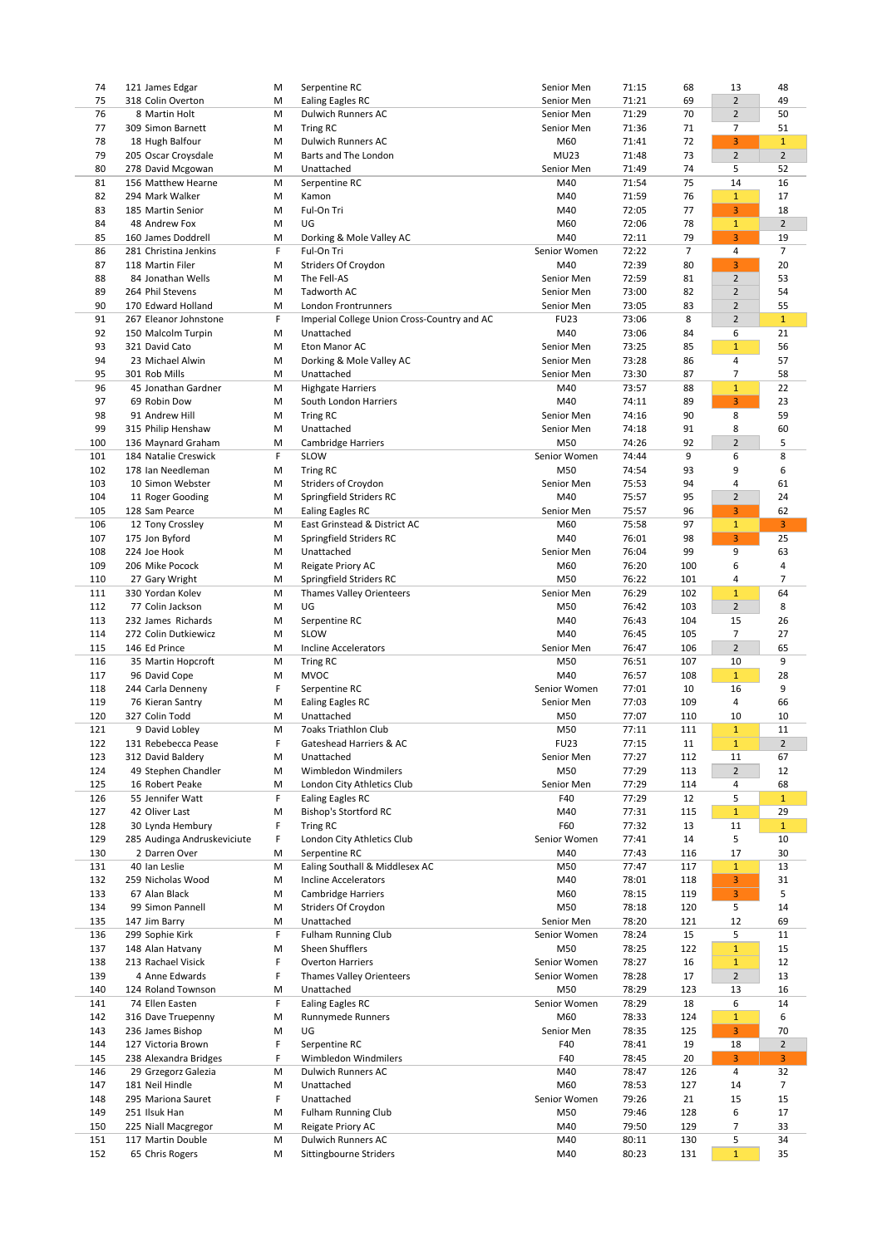| 71:21<br>$\overline{2}$<br>75<br>318 Colin Overton<br><b>Ealing Eagles RC</b><br>Senior Men<br>69<br>49<br>M<br>8 Martin Holt<br><b>Dulwich Runners AC</b><br>71:29<br>70<br>$\overline{2}$<br>50<br>76<br>M<br>Senior Men<br>77<br>309 Simon Barnett<br>71:36<br>71<br>7<br>51<br>M<br><b>Tring RC</b><br>Senior Men<br>3<br>78<br><b>Dulwich Runners AC</b><br>M60<br>72<br>$\mathbf{1}$<br>18 Hugh Balfour<br>M<br>71:41<br>205 Oscar Croysdale<br>Barts and The London<br><b>MU23</b><br>$\overline{2}$<br>$\overline{2}$<br>79<br>71:48<br>73<br>M<br>80<br>278 David Mcgowan<br>Senior Men<br>71:49<br>74<br>5<br>52<br>M<br>Unattached<br>16<br>81<br>156 Matthew Hearne<br>71:54<br>75<br>14<br>Serpentine RC<br>M40<br>M<br>76<br>82<br>294 Mark Walker<br>M40<br>71:59<br>17<br>M<br>Kamon<br>1<br>83<br>Ful-On Tri<br>77<br>3<br>18<br>185 Martin Senior<br>M40<br>72:05<br>M<br>84<br>48 Andrew Fox<br>72:06<br>78<br>$\mathbf{1}$<br>$\overline{2}$<br>M<br>UG<br>M60<br>$\overline{3}$<br>72:11<br>79<br>85<br>160 James Doddrell<br>Dorking & Mole Valley AC<br>M40<br>19<br>M<br>86<br>281 Christina Jenkins<br>F.<br>Ful-On Tri<br>Senior Women<br>72:22<br>$\overline{7}$<br>4<br>$\overline{7}$<br>3<br>87<br>118 Martin Filer<br><b>Striders Of Croydon</b><br>M40<br>72:39<br>80<br>20<br>M<br>88<br>The Fell-AS<br>$\overline{2}$<br>53<br>84 Jonathan Wells<br>Senior Men<br>72:59<br>81<br>M<br>264 Phil Stevens<br>Tadworth AC<br>73:00<br>$\overline{2}$<br>54<br>89<br>M<br>Senior Men<br>82<br>$\overline{2}$<br>90<br>170 Edward Holland<br>73:05<br>55<br>M<br>London Frontrunners<br>Senior Men<br>83<br>8<br>$\overline{2}$<br>$\mathbf{1}$<br>267 Eleanor Johnstone<br>F.<br>Imperial College Union Cross-Country and AC<br>91<br><b>FU23</b><br>73:06<br>92<br>Unattached<br>M40<br>73:06<br>6<br>21<br>150 Malcolm Turpin<br>M<br>84<br>56<br>93<br>321 David Cato<br>85<br>$\mathbf{1}$<br>Eton Manor AC<br>Senior Men<br>73:25<br>M<br>57<br>94<br>23 Michael Alwin<br>Dorking & Mole Valley AC<br>Senior Men<br>73:28<br>4<br>M<br>86<br>95<br>301 Rob Mills<br>Unattached<br>Senior Men<br>73:30<br>87<br>7<br>58<br>M<br>22<br>96<br>73:57<br>88<br>$\mathbf{1}$<br>45 Jonathan Gardner<br>M<br><b>Highgate Harriers</b><br>M40<br>$\overline{3}$<br>23<br>97<br>69 Robin Dow<br>South London Harriers<br>M40<br>74:11<br>89<br>M<br>8<br>98<br>91 Andrew Hill<br>59<br>M<br><b>Tring RC</b><br>Senior Men<br>74:16<br>90<br>99<br>315 Philip Henshaw<br>Senior Men<br>74:18<br>8<br>60<br>M<br>Unattached<br>91<br>$\mathbf 2$<br>5<br>136 Maynard Graham<br>M50<br>74:26<br>92<br>100<br><b>Cambridge Harriers</b><br>M<br>8<br>184 Natalie Creswick<br>F.<br>SLOW<br>6<br>101<br>Senior Women<br>74:44<br>9<br>102<br>178 Ian Needleman<br>M50<br>74:54<br>93<br>9<br>6<br>M<br><b>Tring RC</b><br>10 Simon Webster<br>103<br>M<br><b>Striders of Croydon</b><br>Senior Men<br>75:53<br>94<br>61<br>4<br>$\overline{2}$<br>104<br>11 Roger Gooding<br>Springfield Striders RC<br>M40<br>75:57<br>95<br>24<br>M<br>105<br>128 Sam Pearce<br>Senior Men<br>75:57<br>96<br>3<br>62<br>M<br><b>Ealing Eagles RC</b><br>3 <sup>1</sup><br>12 Tony Crossley<br>East Grinstead & District AC<br>M60<br>75:58<br>$\mathbf{1}$<br>106<br>M<br>97<br>76:01<br>$\overline{3}$<br>25<br>107<br>175 Jon Byford<br>Springfield Striders RC<br>M40<br>98<br>M<br>9<br>108<br>224 Joe Hook<br>Unattached<br>76:04<br>99<br>63<br>M<br>Senior Men<br>109<br>206 Mike Pocock<br>Reigate Priory AC<br>M60<br>76:20<br>M<br>100<br>6<br>4<br>110<br>Springfield Striders RC<br>M50<br>76:22<br>101<br>7<br>27 Gary Wright<br>M<br>4<br>330 Yordan Kolev<br>Senior Men<br>76:29<br>102<br>$\mathbf{1}$<br>64<br>111<br>M<br><b>Thames Valley Orienteers</b><br>$\overline{2}$<br>8<br>112<br>77 Colin Jackson<br>UG<br>M50<br>76:42<br>103<br>M<br>113<br>232 James Richards<br>M40<br>104<br>26<br>M<br>Serpentine RC<br>76:43<br>15<br>27<br>114<br>272 Colin Dutkiewicz<br>SLOW<br>M40<br>76:45<br>105<br>7<br>M<br>$\overline{2}$<br>146 Ed Prince<br>106<br>65<br>115<br>M<br>Incline Accelerators<br>Senior Men<br>76:47<br>9<br>M50<br>76:51<br>107<br>10<br>116<br>35 Martin Hopcroft<br>M<br><b>Tring RC</b><br>108<br>$\mathbf{1}$<br>117<br>96 David Cope<br><b>MVOC</b><br>M40<br>76:57<br>28<br>M<br>9<br>118<br>244 Carla Denneny<br>F<br>Senior Women<br>77:01<br>10<br>16<br>Serpentine RC<br>119<br>Senior Men<br>77:03<br>109<br>66<br>76 Kieran Santry<br>M<br><b>Ealing Eagles RC</b><br>4<br>327 Colin Todd<br>Unattached<br>M50<br>10<br>120<br>M<br>77:07<br>110<br>10<br>121<br>9 David Lobley<br><b>7oaks Triathlon Club</b><br>M50<br>77:11<br>111<br>1<br>11<br>M<br>$\overline{2}$<br>$\mathbf{1}$<br>122<br>131 Rebebecca Pease<br>F<br>Gateshead Harriers & AC<br><b>FU23</b><br>77:15<br>11<br>312 David Baldery<br>123<br>Unattached<br>Senior Men<br>77:27<br>112<br>67<br>M<br>11<br>113<br>$\overline{2}$<br>124<br>49 Stephen Chandler<br>M<br>Wimbledon Windmilers<br>M50<br>77:29<br>12<br>16 Robert Peake<br>125<br>M<br>London City Athletics Club<br>Senior Men<br>77:29<br>114<br>68<br>4<br>55 Jennifer Watt<br>126<br>F.<br><b>Ealing Eagles RC</b><br>F40<br>77:29<br>12<br>5<br>$\mathbf{1}$<br>115<br>127<br><b>Bishop's Stortford RC</b><br>M40<br>77:31<br>$\mathbf{1}$<br>29<br>42 Oliver Last<br>M<br>F60<br>$\mathbf{1}$<br>128<br>F<br>77:32<br>13<br>11<br>30 Lynda Hembury<br>Tring RC<br>129<br>F<br>Senior Women<br>77:41<br>14<br>5<br>10<br>285 Audinga Andruskeviciute<br>London City Athletics Club<br>130<br>M40<br>116<br>17<br>30<br>2 Darren Over<br>M<br>Serpentine RC<br>77:43<br>131<br>40 Ian Leslie<br>M<br>Ealing Southall & Middlesex AC<br>M50<br>77:47<br>117<br>1<br>13<br>132<br>M40<br>78:01<br>118<br>3<br>31<br>259 Nicholas Wood<br>M<br><b>Incline Accelerators</b><br>5<br>$\overline{3}$<br>133<br>67 Alan Black<br><b>Cambridge Harriers</b><br>M60<br>78:15<br>119<br>M<br>134<br>99 Simon Pannell<br><b>Striders Of Croydon</b><br>M50<br>78:18<br>120<br>5<br>M<br>14<br>135<br>Unattached<br>78:20<br>121<br>12<br>69<br>147 Jim Barry<br>M<br>Senior Men<br>136<br>299 Sophie Kirk<br>F<br><b>Fulham Running Club</b><br>Senior Women<br>78:24<br>15<br>5<br>11<br>Sheen Shufflers<br>137<br>148 Alan Hatvany<br>M50<br>122<br>$\mathbf{1}$<br>15<br>78:25<br>M<br>138<br>213 Rachael Visick<br><b>Overton Harriers</b><br>Senior Women<br>78:27<br>16<br>12<br>F.<br>$\mathbf{1}$<br>$\overline{2}$<br>13<br>139<br>4 Anne Edwards<br>F<br><b>Thames Valley Orienteers</b><br>Senior Women<br>78:28<br>17<br>140<br>124 Roland Townson<br>Unattached<br>M50<br>78:29<br>16<br>M<br>123<br>13<br>74 Ellen Easten<br>F.<br><b>Ealing Eagles RC</b><br>Senior Women<br>78:29<br>18<br>6<br>14<br>141<br>142<br><b>Runnymede Runners</b><br>M60<br>$\mathbf{1}$<br>6<br>316 Dave Truepenny<br>M<br>78:33<br>124<br>$\overline{3}$<br>143<br>236 James Bishop<br>UG<br>Senior Men<br>125<br>M<br>78:35<br>70<br>18<br>$\overline{2}$<br>144<br>127 Victoria Brown<br>F<br>Serpentine RC<br>F40<br>19<br>78:41<br>3 <sup>1</sup><br>3<br>145<br>238 Alexandra Bridges<br>F<br>Wimbledon Windmilers<br>F40<br>20<br>78:45<br>146<br>29 Grzegorz Galezia<br><b>Dulwich Runners AC</b><br>M40<br>78:47<br>32<br>M<br>126<br>4<br>181 Neil Hindle<br>Unattached<br>M60<br>7<br>147<br>78:53<br>127<br>14<br>M<br>148<br>295 Mariona Sauret<br>Unattached<br>Senior Women<br>15<br>15<br>F.<br>79:26<br>21<br>251 Ilsuk Han<br><b>Fulham Running Club</b><br>M50<br>17<br>149<br>M<br>79:46<br>128<br>6<br>225 Niall Macgregor<br>Reigate Priory AC<br>M40<br>79:50<br>7<br>33<br>150<br>M<br>129<br>117 Martin Double<br><b>Dulwich Runners AC</b><br>34<br>151<br>${\sf M}$<br>M40<br>80:11<br>130<br>5 |     |                 |   |                        |            |       |     |              |    |
|----------------------------------------------------------------------------------------------------------------------------------------------------------------------------------------------------------------------------------------------------------------------------------------------------------------------------------------------------------------------------------------------------------------------------------------------------------------------------------------------------------------------------------------------------------------------------------------------------------------------------------------------------------------------------------------------------------------------------------------------------------------------------------------------------------------------------------------------------------------------------------------------------------------------------------------------------------------------------------------------------------------------------------------------------------------------------------------------------------------------------------------------------------------------------------------------------------------------------------------------------------------------------------------------------------------------------------------------------------------------------------------------------------------------------------------------------------------------------------------------------------------------------------------------------------------------------------------------------------------------------------------------------------------------------------------------------------------------------------------------------------------------------------------------------------------------------------------------------------------------------------------------------------------------------------------------------------------------------------------------------------------------------------------------------------------------------------------------------------------------------------------------------------------------------------------------------------------------------------------------------------------------------------------------------------------------------------------------------------------------------------------------------------------------------------------------------------------------------------------------------------------------------------------------------------------------------------------------------------------------------------------------------------------------------------------------------------------------------------------------------------------------------------------------------------------------------------------------------------------------------------------------------------------------------------------------------------------------------------------------------------------------------------------------------------------------------------------------------------------------------------------------------------------------------------------------------------------------------------------------------------------------------------------------------------------------------------------------------------------------------------------------------------------------------------------------------------------------------------------------------------------------------------------------------------------------------------------------------------------------------------------------------------------------------------------------------------------------------------------------------------------------------------------------------------------------------------------------------------------------------------------------------------------------------------------------------------------------------------------------------------------------------------------------------------------------------------------------------------------------------------------------------------------------------------------------------------------------------------------------------------------------------------------------------------------------------------------------------------------------------------------------------------------------------------------------------------------------------------------------------------------------------------------------------------------------------------------------------------------------------------------------------------------------------------------------------------------------------------------------------------------------------------------------------------------------------------------------------------------------------------------------------------------------------------------------------------------------------------------------------------------------------------------------------------------------------------------------------------------------------------------------------------------------------------------------------------------------------------------------------------------------------------------------------------------------------------------------------------------------------------------------------------------------------------------------------------------------------------------------------------------------------------------------------------------------------------------------------------------------------------------------------------------------------------------------------------------------------------------------------------------------------------------------------------------------------------------------------------------------------------------------------------------------------------------------------------------------------------------------------------------------------------------------------------------------------------------------------------------------------------------------------------------------------------------------------------------------------------------------------------------------------------------------------------------------------------------------------------------------------------------------------------------------------------------------------------------------------------------------------------------------------------------------------------------------------------------------------------------------------------------------------------------------------------------------------------------------------------------------------------------------------------------------------------------------------------------------------------------------------------------------------------------------------------------------------------------------------------------------------------------------------------------------------------------------------------------------------------------------------------------------------------------------------------------------------------------------------------------------------------------------------------------------------------------------------------------------------------------------------------------------------------------------------------------------------------------------------------------------------------------------------------------------------------------------------------------------------------------------------------------------------------------------------------------------------------------------------------------------------------------------------------------------------------------|-----|-----------------|---|------------------------|------------|-------|-----|--------------|----|
|                                                                                                                                                                                                                                                                                                                                                                                                                                                                                                                                                                                                                                                                                                                                                                                                                                                                                                                                                                                                                                                                                                                                                                                                                                                                                                                                                                                                                                                                                                                                                                                                                                                                                                                                                                                                                                                                                                                                                                                                                                                                                                                                                                                                                                                                                                                                                                                                                                                                                                                                                                                                                                                                                                                                                                                                                                                                                                                                                                                                                                                                                                                                                                                                                                                                                                                                                                                                                                                                                                                                                                                                                                                                                                                                                                                                                                                                                                                                                                                                                                                                                                                                                                                                                                                                                                                                                                                                                                                                                                                                                                                                                                                                                                                                                                                                                                                                                                                                                                                                                                                                                                                                                                                                                                                                                                                                                                                                                                                                                                                                                                                                                                                                                                                                                                                                                                                                                                                                                                                                                                                                                                                                                                                                                                                                                                                                                                                                                                                                                                                                                                                                                                                                                                                                                                                                                                                                                                                                                                                                                                                                                                                                                                                                                                                                                                                                                                                                                                                                                                                                                                                                                                                                                                                                                                                                                | 74  | 121 James Edgar | M | Serpentine RC          | Senior Men | 71:15 | 68  | 13           | 48 |
|                                                                                                                                                                                                                                                                                                                                                                                                                                                                                                                                                                                                                                                                                                                                                                                                                                                                                                                                                                                                                                                                                                                                                                                                                                                                                                                                                                                                                                                                                                                                                                                                                                                                                                                                                                                                                                                                                                                                                                                                                                                                                                                                                                                                                                                                                                                                                                                                                                                                                                                                                                                                                                                                                                                                                                                                                                                                                                                                                                                                                                                                                                                                                                                                                                                                                                                                                                                                                                                                                                                                                                                                                                                                                                                                                                                                                                                                                                                                                                                                                                                                                                                                                                                                                                                                                                                                                                                                                                                                                                                                                                                                                                                                                                                                                                                                                                                                                                                                                                                                                                                                                                                                                                                                                                                                                                                                                                                                                                                                                                                                                                                                                                                                                                                                                                                                                                                                                                                                                                                                                                                                                                                                                                                                                                                                                                                                                                                                                                                                                                                                                                                                                                                                                                                                                                                                                                                                                                                                                                                                                                                                                                                                                                                                                                                                                                                                                                                                                                                                                                                                                                                                                                                                                                                                                                                                                |     |                 |   |                        |            |       |     |              |    |
|                                                                                                                                                                                                                                                                                                                                                                                                                                                                                                                                                                                                                                                                                                                                                                                                                                                                                                                                                                                                                                                                                                                                                                                                                                                                                                                                                                                                                                                                                                                                                                                                                                                                                                                                                                                                                                                                                                                                                                                                                                                                                                                                                                                                                                                                                                                                                                                                                                                                                                                                                                                                                                                                                                                                                                                                                                                                                                                                                                                                                                                                                                                                                                                                                                                                                                                                                                                                                                                                                                                                                                                                                                                                                                                                                                                                                                                                                                                                                                                                                                                                                                                                                                                                                                                                                                                                                                                                                                                                                                                                                                                                                                                                                                                                                                                                                                                                                                                                                                                                                                                                                                                                                                                                                                                                                                                                                                                                                                                                                                                                                                                                                                                                                                                                                                                                                                                                                                                                                                                                                                                                                                                                                                                                                                                                                                                                                                                                                                                                                                                                                                                                                                                                                                                                                                                                                                                                                                                                                                                                                                                                                                                                                                                                                                                                                                                                                                                                                                                                                                                                                                                                                                                                                                                                                                                                                |     |                 |   |                        |            |       |     |              |    |
|                                                                                                                                                                                                                                                                                                                                                                                                                                                                                                                                                                                                                                                                                                                                                                                                                                                                                                                                                                                                                                                                                                                                                                                                                                                                                                                                                                                                                                                                                                                                                                                                                                                                                                                                                                                                                                                                                                                                                                                                                                                                                                                                                                                                                                                                                                                                                                                                                                                                                                                                                                                                                                                                                                                                                                                                                                                                                                                                                                                                                                                                                                                                                                                                                                                                                                                                                                                                                                                                                                                                                                                                                                                                                                                                                                                                                                                                                                                                                                                                                                                                                                                                                                                                                                                                                                                                                                                                                                                                                                                                                                                                                                                                                                                                                                                                                                                                                                                                                                                                                                                                                                                                                                                                                                                                                                                                                                                                                                                                                                                                                                                                                                                                                                                                                                                                                                                                                                                                                                                                                                                                                                                                                                                                                                                                                                                                                                                                                                                                                                                                                                                                                                                                                                                                                                                                                                                                                                                                                                                                                                                                                                                                                                                                                                                                                                                                                                                                                                                                                                                                                                                                                                                                                                                                                                                                                |     |                 |   |                        |            |       |     |              |    |
|                                                                                                                                                                                                                                                                                                                                                                                                                                                                                                                                                                                                                                                                                                                                                                                                                                                                                                                                                                                                                                                                                                                                                                                                                                                                                                                                                                                                                                                                                                                                                                                                                                                                                                                                                                                                                                                                                                                                                                                                                                                                                                                                                                                                                                                                                                                                                                                                                                                                                                                                                                                                                                                                                                                                                                                                                                                                                                                                                                                                                                                                                                                                                                                                                                                                                                                                                                                                                                                                                                                                                                                                                                                                                                                                                                                                                                                                                                                                                                                                                                                                                                                                                                                                                                                                                                                                                                                                                                                                                                                                                                                                                                                                                                                                                                                                                                                                                                                                                                                                                                                                                                                                                                                                                                                                                                                                                                                                                                                                                                                                                                                                                                                                                                                                                                                                                                                                                                                                                                                                                                                                                                                                                                                                                                                                                                                                                                                                                                                                                                                                                                                                                                                                                                                                                                                                                                                                                                                                                                                                                                                                                                                                                                                                                                                                                                                                                                                                                                                                                                                                                                                                                                                                                                                                                                                                                |     |                 |   |                        |            |       |     |              |    |
|                                                                                                                                                                                                                                                                                                                                                                                                                                                                                                                                                                                                                                                                                                                                                                                                                                                                                                                                                                                                                                                                                                                                                                                                                                                                                                                                                                                                                                                                                                                                                                                                                                                                                                                                                                                                                                                                                                                                                                                                                                                                                                                                                                                                                                                                                                                                                                                                                                                                                                                                                                                                                                                                                                                                                                                                                                                                                                                                                                                                                                                                                                                                                                                                                                                                                                                                                                                                                                                                                                                                                                                                                                                                                                                                                                                                                                                                                                                                                                                                                                                                                                                                                                                                                                                                                                                                                                                                                                                                                                                                                                                                                                                                                                                                                                                                                                                                                                                                                                                                                                                                                                                                                                                                                                                                                                                                                                                                                                                                                                                                                                                                                                                                                                                                                                                                                                                                                                                                                                                                                                                                                                                                                                                                                                                                                                                                                                                                                                                                                                                                                                                                                                                                                                                                                                                                                                                                                                                                                                                                                                                                                                                                                                                                                                                                                                                                                                                                                                                                                                                                                                                                                                                                                                                                                                                                                |     |                 |   |                        |            |       |     |              |    |
|                                                                                                                                                                                                                                                                                                                                                                                                                                                                                                                                                                                                                                                                                                                                                                                                                                                                                                                                                                                                                                                                                                                                                                                                                                                                                                                                                                                                                                                                                                                                                                                                                                                                                                                                                                                                                                                                                                                                                                                                                                                                                                                                                                                                                                                                                                                                                                                                                                                                                                                                                                                                                                                                                                                                                                                                                                                                                                                                                                                                                                                                                                                                                                                                                                                                                                                                                                                                                                                                                                                                                                                                                                                                                                                                                                                                                                                                                                                                                                                                                                                                                                                                                                                                                                                                                                                                                                                                                                                                                                                                                                                                                                                                                                                                                                                                                                                                                                                                                                                                                                                                                                                                                                                                                                                                                                                                                                                                                                                                                                                                                                                                                                                                                                                                                                                                                                                                                                                                                                                                                                                                                                                                                                                                                                                                                                                                                                                                                                                                                                                                                                                                                                                                                                                                                                                                                                                                                                                                                                                                                                                                                                                                                                                                                                                                                                                                                                                                                                                                                                                                                                                                                                                                                                                                                                                                                |     |                 |   |                        |            |       |     |              |    |
|                                                                                                                                                                                                                                                                                                                                                                                                                                                                                                                                                                                                                                                                                                                                                                                                                                                                                                                                                                                                                                                                                                                                                                                                                                                                                                                                                                                                                                                                                                                                                                                                                                                                                                                                                                                                                                                                                                                                                                                                                                                                                                                                                                                                                                                                                                                                                                                                                                                                                                                                                                                                                                                                                                                                                                                                                                                                                                                                                                                                                                                                                                                                                                                                                                                                                                                                                                                                                                                                                                                                                                                                                                                                                                                                                                                                                                                                                                                                                                                                                                                                                                                                                                                                                                                                                                                                                                                                                                                                                                                                                                                                                                                                                                                                                                                                                                                                                                                                                                                                                                                                                                                                                                                                                                                                                                                                                                                                                                                                                                                                                                                                                                                                                                                                                                                                                                                                                                                                                                                                                                                                                                                                                                                                                                                                                                                                                                                                                                                                                                                                                                                                                                                                                                                                                                                                                                                                                                                                                                                                                                                                                                                                                                                                                                                                                                                                                                                                                                                                                                                                                                                                                                                                                                                                                                                                                |     |                 |   |                        |            |       |     |              |    |
|                                                                                                                                                                                                                                                                                                                                                                                                                                                                                                                                                                                                                                                                                                                                                                                                                                                                                                                                                                                                                                                                                                                                                                                                                                                                                                                                                                                                                                                                                                                                                                                                                                                                                                                                                                                                                                                                                                                                                                                                                                                                                                                                                                                                                                                                                                                                                                                                                                                                                                                                                                                                                                                                                                                                                                                                                                                                                                                                                                                                                                                                                                                                                                                                                                                                                                                                                                                                                                                                                                                                                                                                                                                                                                                                                                                                                                                                                                                                                                                                                                                                                                                                                                                                                                                                                                                                                                                                                                                                                                                                                                                                                                                                                                                                                                                                                                                                                                                                                                                                                                                                                                                                                                                                                                                                                                                                                                                                                                                                                                                                                                                                                                                                                                                                                                                                                                                                                                                                                                                                                                                                                                                                                                                                                                                                                                                                                                                                                                                                                                                                                                                                                                                                                                                                                                                                                                                                                                                                                                                                                                                                                                                                                                                                                                                                                                                                                                                                                                                                                                                                                                                                                                                                                                                                                                                                                |     |                 |   |                        |            |       |     |              |    |
|                                                                                                                                                                                                                                                                                                                                                                                                                                                                                                                                                                                                                                                                                                                                                                                                                                                                                                                                                                                                                                                                                                                                                                                                                                                                                                                                                                                                                                                                                                                                                                                                                                                                                                                                                                                                                                                                                                                                                                                                                                                                                                                                                                                                                                                                                                                                                                                                                                                                                                                                                                                                                                                                                                                                                                                                                                                                                                                                                                                                                                                                                                                                                                                                                                                                                                                                                                                                                                                                                                                                                                                                                                                                                                                                                                                                                                                                                                                                                                                                                                                                                                                                                                                                                                                                                                                                                                                                                                                                                                                                                                                                                                                                                                                                                                                                                                                                                                                                                                                                                                                                                                                                                                                                                                                                                                                                                                                                                                                                                                                                                                                                                                                                                                                                                                                                                                                                                                                                                                                                                                                                                                                                                                                                                                                                                                                                                                                                                                                                                                                                                                                                                                                                                                                                                                                                                                                                                                                                                                                                                                                                                                                                                                                                                                                                                                                                                                                                                                                                                                                                                                                                                                                                                                                                                                                                                |     |                 |   |                        |            |       |     |              |    |
|                                                                                                                                                                                                                                                                                                                                                                                                                                                                                                                                                                                                                                                                                                                                                                                                                                                                                                                                                                                                                                                                                                                                                                                                                                                                                                                                                                                                                                                                                                                                                                                                                                                                                                                                                                                                                                                                                                                                                                                                                                                                                                                                                                                                                                                                                                                                                                                                                                                                                                                                                                                                                                                                                                                                                                                                                                                                                                                                                                                                                                                                                                                                                                                                                                                                                                                                                                                                                                                                                                                                                                                                                                                                                                                                                                                                                                                                                                                                                                                                                                                                                                                                                                                                                                                                                                                                                                                                                                                                                                                                                                                                                                                                                                                                                                                                                                                                                                                                                                                                                                                                                                                                                                                                                                                                                                                                                                                                                                                                                                                                                                                                                                                                                                                                                                                                                                                                                                                                                                                                                                                                                                                                                                                                                                                                                                                                                                                                                                                                                                                                                                                                                                                                                                                                                                                                                                                                                                                                                                                                                                                                                                                                                                                                                                                                                                                                                                                                                                                                                                                                                                                                                                                                                                                                                                                                                |     |                 |   |                        |            |       |     |              |    |
|                                                                                                                                                                                                                                                                                                                                                                                                                                                                                                                                                                                                                                                                                                                                                                                                                                                                                                                                                                                                                                                                                                                                                                                                                                                                                                                                                                                                                                                                                                                                                                                                                                                                                                                                                                                                                                                                                                                                                                                                                                                                                                                                                                                                                                                                                                                                                                                                                                                                                                                                                                                                                                                                                                                                                                                                                                                                                                                                                                                                                                                                                                                                                                                                                                                                                                                                                                                                                                                                                                                                                                                                                                                                                                                                                                                                                                                                                                                                                                                                                                                                                                                                                                                                                                                                                                                                                                                                                                                                                                                                                                                                                                                                                                                                                                                                                                                                                                                                                                                                                                                                                                                                                                                                                                                                                                                                                                                                                                                                                                                                                                                                                                                                                                                                                                                                                                                                                                                                                                                                                                                                                                                                                                                                                                                                                                                                                                                                                                                                                                                                                                                                                                                                                                                                                                                                                                                                                                                                                                                                                                                                                                                                                                                                                                                                                                                                                                                                                                                                                                                                                                                                                                                                                                                                                                                                                |     |                 |   |                        |            |       |     |              |    |
|                                                                                                                                                                                                                                                                                                                                                                                                                                                                                                                                                                                                                                                                                                                                                                                                                                                                                                                                                                                                                                                                                                                                                                                                                                                                                                                                                                                                                                                                                                                                                                                                                                                                                                                                                                                                                                                                                                                                                                                                                                                                                                                                                                                                                                                                                                                                                                                                                                                                                                                                                                                                                                                                                                                                                                                                                                                                                                                                                                                                                                                                                                                                                                                                                                                                                                                                                                                                                                                                                                                                                                                                                                                                                                                                                                                                                                                                                                                                                                                                                                                                                                                                                                                                                                                                                                                                                                                                                                                                                                                                                                                                                                                                                                                                                                                                                                                                                                                                                                                                                                                                                                                                                                                                                                                                                                                                                                                                                                                                                                                                                                                                                                                                                                                                                                                                                                                                                                                                                                                                                                                                                                                                                                                                                                                                                                                                                                                                                                                                                                                                                                                                                                                                                                                                                                                                                                                                                                                                                                                                                                                                                                                                                                                                                                                                                                                                                                                                                                                                                                                                                                                                                                                                                                                                                                                                                |     |                 |   |                        |            |       |     |              |    |
|                                                                                                                                                                                                                                                                                                                                                                                                                                                                                                                                                                                                                                                                                                                                                                                                                                                                                                                                                                                                                                                                                                                                                                                                                                                                                                                                                                                                                                                                                                                                                                                                                                                                                                                                                                                                                                                                                                                                                                                                                                                                                                                                                                                                                                                                                                                                                                                                                                                                                                                                                                                                                                                                                                                                                                                                                                                                                                                                                                                                                                                                                                                                                                                                                                                                                                                                                                                                                                                                                                                                                                                                                                                                                                                                                                                                                                                                                                                                                                                                                                                                                                                                                                                                                                                                                                                                                                                                                                                                                                                                                                                                                                                                                                                                                                                                                                                                                                                                                                                                                                                                                                                                                                                                                                                                                                                                                                                                                                                                                                                                                                                                                                                                                                                                                                                                                                                                                                                                                                                                                                                                                                                                                                                                                                                                                                                                                                                                                                                                                                                                                                                                                                                                                                                                                                                                                                                                                                                                                                                                                                                                                                                                                                                                                                                                                                                                                                                                                                                                                                                                                                                                                                                                                                                                                                                                                |     |                 |   |                        |            |       |     |              |    |
|                                                                                                                                                                                                                                                                                                                                                                                                                                                                                                                                                                                                                                                                                                                                                                                                                                                                                                                                                                                                                                                                                                                                                                                                                                                                                                                                                                                                                                                                                                                                                                                                                                                                                                                                                                                                                                                                                                                                                                                                                                                                                                                                                                                                                                                                                                                                                                                                                                                                                                                                                                                                                                                                                                                                                                                                                                                                                                                                                                                                                                                                                                                                                                                                                                                                                                                                                                                                                                                                                                                                                                                                                                                                                                                                                                                                                                                                                                                                                                                                                                                                                                                                                                                                                                                                                                                                                                                                                                                                                                                                                                                                                                                                                                                                                                                                                                                                                                                                                                                                                                                                                                                                                                                                                                                                                                                                                                                                                                                                                                                                                                                                                                                                                                                                                                                                                                                                                                                                                                                                                                                                                                                                                                                                                                                                                                                                                                                                                                                                                                                                                                                                                                                                                                                                                                                                                                                                                                                                                                                                                                                                                                                                                                                                                                                                                                                                                                                                                                                                                                                                                                                                                                                                                                                                                                                                                |     |                 |   |                        |            |       |     |              |    |
|                                                                                                                                                                                                                                                                                                                                                                                                                                                                                                                                                                                                                                                                                                                                                                                                                                                                                                                                                                                                                                                                                                                                                                                                                                                                                                                                                                                                                                                                                                                                                                                                                                                                                                                                                                                                                                                                                                                                                                                                                                                                                                                                                                                                                                                                                                                                                                                                                                                                                                                                                                                                                                                                                                                                                                                                                                                                                                                                                                                                                                                                                                                                                                                                                                                                                                                                                                                                                                                                                                                                                                                                                                                                                                                                                                                                                                                                                                                                                                                                                                                                                                                                                                                                                                                                                                                                                                                                                                                                                                                                                                                                                                                                                                                                                                                                                                                                                                                                                                                                                                                                                                                                                                                                                                                                                                                                                                                                                                                                                                                                                                                                                                                                                                                                                                                                                                                                                                                                                                                                                                                                                                                                                                                                                                                                                                                                                                                                                                                                                                                                                                                                                                                                                                                                                                                                                                                                                                                                                                                                                                                                                                                                                                                                                                                                                                                                                                                                                                                                                                                                                                                                                                                                                                                                                                                                                |     |                 |   |                        |            |       |     |              |    |
|                                                                                                                                                                                                                                                                                                                                                                                                                                                                                                                                                                                                                                                                                                                                                                                                                                                                                                                                                                                                                                                                                                                                                                                                                                                                                                                                                                                                                                                                                                                                                                                                                                                                                                                                                                                                                                                                                                                                                                                                                                                                                                                                                                                                                                                                                                                                                                                                                                                                                                                                                                                                                                                                                                                                                                                                                                                                                                                                                                                                                                                                                                                                                                                                                                                                                                                                                                                                                                                                                                                                                                                                                                                                                                                                                                                                                                                                                                                                                                                                                                                                                                                                                                                                                                                                                                                                                                                                                                                                                                                                                                                                                                                                                                                                                                                                                                                                                                                                                                                                                                                                                                                                                                                                                                                                                                                                                                                                                                                                                                                                                                                                                                                                                                                                                                                                                                                                                                                                                                                                                                                                                                                                                                                                                                                                                                                                                                                                                                                                                                                                                                                                                                                                                                                                                                                                                                                                                                                                                                                                                                                                                                                                                                                                                                                                                                                                                                                                                                                                                                                                                                                                                                                                                                                                                                                                                |     |                 |   |                        |            |       |     |              |    |
|                                                                                                                                                                                                                                                                                                                                                                                                                                                                                                                                                                                                                                                                                                                                                                                                                                                                                                                                                                                                                                                                                                                                                                                                                                                                                                                                                                                                                                                                                                                                                                                                                                                                                                                                                                                                                                                                                                                                                                                                                                                                                                                                                                                                                                                                                                                                                                                                                                                                                                                                                                                                                                                                                                                                                                                                                                                                                                                                                                                                                                                                                                                                                                                                                                                                                                                                                                                                                                                                                                                                                                                                                                                                                                                                                                                                                                                                                                                                                                                                                                                                                                                                                                                                                                                                                                                                                                                                                                                                                                                                                                                                                                                                                                                                                                                                                                                                                                                                                                                                                                                                                                                                                                                                                                                                                                                                                                                                                                                                                                                                                                                                                                                                                                                                                                                                                                                                                                                                                                                                                                                                                                                                                                                                                                                                                                                                                                                                                                                                                                                                                                                                                                                                                                                                                                                                                                                                                                                                                                                                                                                                                                                                                                                                                                                                                                                                                                                                                                                                                                                                                                                                                                                                                                                                                                                                                |     |                 |   |                        |            |       |     |              |    |
|                                                                                                                                                                                                                                                                                                                                                                                                                                                                                                                                                                                                                                                                                                                                                                                                                                                                                                                                                                                                                                                                                                                                                                                                                                                                                                                                                                                                                                                                                                                                                                                                                                                                                                                                                                                                                                                                                                                                                                                                                                                                                                                                                                                                                                                                                                                                                                                                                                                                                                                                                                                                                                                                                                                                                                                                                                                                                                                                                                                                                                                                                                                                                                                                                                                                                                                                                                                                                                                                                                                                                                                                                                                                                                                                                                                                                                                                                                                                                                                                                                                                                                                                                                                                                                                                                                                                                                                                                                                                                                                                                                                                                                                                                                                                                                                                                                                                                                                                                                                                                                                                                                                                                                                                                                                                                                                                                                                                                                                                                                                                                                                                                                                                                                                                                                                                                                                                                                                                                                                                                                                                                                                                                                                                                                                                                                                                                                                                                                                                                                                                                                                                                                                                                                                                                                                                                                                                                                                                                                                                                                                                                                                                                                                                                                                                                                                                                                                                                                                                                                                                                                                                                                                                                                                                                                                                                |     |                 |   |                        |            |       |     |              |    |
|                                                                                                                                                                                                                                                                                                                                                                                                                                                                                                                                                                                                                                                                                                                                                                                                                                                                                                                                                                                                                                                                                                                                                                                                                                                                                                                                                                                                                                                                                                                                                                                                                                                                                                                                                                                                                                                                                                                                                                                                                                                                                                                                                                                                                                                                                                                                                                                                                                                                                                                                                                                                                                                                                                                                                                                                                                                                                                                                                                                                                                                                                                                                                                                                                                                                                                                                                                                                                                                                                                                                                                                                                                                                                                                                                                                                                                                                                                                                                                                                                                                                                                                                                                                                                                                                                                                                                                                                                                                                                                                                                                                                                                                                                                                                                                                                                                                                                                                                                                                                                                                                                                                                                                                                                                                                                                                                                                                                                                                                                                                                                                                                                                                                                                                                                                                                                                                                                                                                                                                                                                                                                                                                                                                                                                                                                                                                                                                                                                                                                                                                                                                                                                                                                                                                                                                                                                                                                                                                                                                                                                                                                                                                                                                                                                                                                                                                                                                                                                                                                                                                                                                                                                                                                                                                                                                                                |     |                 |   |                        |            |       |     |              |    |
|                                                                                                                                                                                                                                                                                                                                                                                                                                                                                                                                                                                                                                                                                                                                                                                                                                                                                                                                                                                                                                                                                                                                                                                                                                                                                                                                                                                                                                                                                                                                                                                                                                                                                                                                                                                                                                                                                                                                                                                                                                                                                                                                                                                                                                                                                                                                                                                                                                                                                                                                                                                                                                                                                                                                                                                                                                                                                                                                                                                                                                                                                                                                                                                                                                                                                                                                                                                                                                                                                                                                                                                                                                                                                                                                                                                                                                                                                                                                                                                                                                                                                                                                                                                                                                                                                                                                                                                                                                                                                                                                                                                                                                                                                                                                                                                                                                                                                                                                                                                                                                                                                                                                                                                                                                                                                                                                                                                                                                                                                                                                                                                                                                                                                                                                                                                                                                                                                                                                                                                                                                                                                                                                                                                                                                                                                                                                                                                                                                                                                                                                                                                                                                                                                                                                                                                                                                                                                                                                                                                                                                                                                                                                                                                                                                                                                                                                                                                                                                                                                                                                                                                                                                                                                                                                                                                                                |     |                 |   |                        |            |       |     |              |    |
|                                                                                                                                                                                                                                                                                                                                                                                                                                                                                                                                                                                                                                                                                                                                                                                                                                                                                                                                                                                                                                                                                                                                                                                                                                                                                                                                                                                                                                                                                                                                                                                                                                                                                                                                                                                                                                                                                                                                                                                                                                                                                                                                                                                                                                                                                                                                                                                                                                                                                                                                                                                                                                                                                                                                                                                                                                                                                                                                                                                                                                                                                                                                                                                                                                                                                                                                                                                                                                                                                                                                                                                                                                                                                                                                                                                                                                                                                                                                                                                                                                                                                                                                                                                                                                                                                                                                                                                                                                                                                                                                                                                                                                                                                                                                                                                                                                                                                                                                                                                                                                                                                                                                                                                                                                                                                                                                                                                                                                                                                                                                                                                                                                                                                                                                                                                                                                                                                                                                                                                                                                                                                                                                                                                                                                                                                                                                                                                                                                                                                                                                                                                                                                                                                                                                                                                                                                                                                                                                                                                                                                                                                                                                                                                                                                                                                                                                                                                                                                                                                                                                                                                                                                                                                                                                                                                                                |     |                 |   |                        |            |       |     |              |    |
|                                                                                                                                                                                                                                                                                                                                                                                                                                                                                                                                                                                                                                                                                                                                                                                                                                                                                                                                                                                                                                                                                                                                                                                                                                                                                                                                                                                                                                                                                                                                                                                                                                                                                                                                                                                                                                                                                                                                                                                                                                                                                                                                                                                                                                                                                                                                                                                                                                                                                                                                                                                                                                                                                                                                                                                                                                                                                                                                                                                                                                                                                                                                                                                                                                                                                                                                                                                                                                                                                                                                                                                                                                                                                                                                                                                                                                                                                                                                                                                                                                                                                                                                                                                                                                                                                                                                                                                                                                                                                                                                                                                                                                                                                                                                                                                                                                                                                                                                                                                                                                                                                                                                                                                                                                                                                                                                                                                                                                                                                                                                                                                                                                                                                                                                                                                                                                                                                                                                                                                                                                                                                                                                                                                                                                                                                                                                                                                                                                                                                                                                                                                                                                                                                                                                                                                                                                                                                                                                                                                                                                                                                                                                                                                                                                                                                                                                                                                                                                                                                                                                                                                                                                                                                                                                                                                                                |     |                 |   |                        |            |       |     |              |    |
|                                                                                                                                                                                                                                                                                                                                                                                                                                                                                                                                                                                                                                                                                                                                                                                                                                                                                                                                                                                                                                                                                                                                                                                                                                                                                                                                                                                                                                                                                                                                                                                                                                                                                                                                                                                                                                                                                                                                                                                                                                                                                                                                                                                                                                                                                                                                                                                                                                                                                                                                                                                                                                                                                                                                                                                                                                                                                                                                                                                                                                                                                                                                                                                                                                                                                                                                                                                                                                                                                                                                                                                                                                                                                                                                                                                                                                                                                                                                                                                                                                                                                                                                                                                                                                                                                                                                                                                                                                                                                                                                                                                                                                                                                                                                                                                                                                                                                                                                                                                                                                                                                                                                                                                                                                                                                                                                                                                                                                                                                                                                                                                                                                                                                                                                                                                                                                                                                                                                                                                                                                                                                                                                                                                                                                                                                                                                                                                                                                                                                                                                                                                                                                                                                                                                                                                                                                                                                                                                                                                                                                                                                                                                                                                                                                                                                                                                                                                                                                                                                                                                                                                                                                                                                                                                                                                                                |     |                 |   |                        |            |       |     |              |    |
|                                                                                                                                                                                                                                                                                                                                                                                                                                                                                                                                                                                                                                                                                                                                                                                                                                                                                                                                                                                                                                                                                                                                                                                                                                                                                                                                                                                                                                                                                                                                                                                                                                                                                                                                                                                                                                                                                                                                                                                                                                                                                                                                                                                                                                                                                                                                                                                                                                                                                                                                                                                                                                                                                                                                                                                                                                                                                                                                                                                                                                                                                                                                                                                                                                                                                                                                                                                                                                                                                                                                                                                                                                                                                                                                                                                                                                                                                                                                                                                                                                                                                                                                                                                                                                                                                                                                                                                                                                                                                                                                                                                                                                                                                                                                                                                                                                                                                                                                                                                                                                                                                                                                                                                                                                                                                                                                                                                                                                                                                                                                                                                                                                                                                                                                                                                                                                                                                                                                                                                                                                                                                                                                                                                                                                                                                                                                                                                                                                                                                                                                                                                                                                                                                                                                                                                                                                                                                                                                                                                                                                                                                                                                                                                                                                                                                                                                                                                                                                                                                                                                                                                                                                                                                                                                                                                                                |     |                 |   |                        |            |       |     |              |    |
|                                                                                                                                                                                                                                                                                                                                                                                                                                                                                                                                                                                                                                                                                                                                                                                                                                                                                                                                                                                                                                                                                                                                                                                                                                                                                                                                                                                                                                                                                                                                                                                                                                                                                                                                                                                                                                                                                                                                                                                                                                                                                                                                                                                                                                                                                                                                                                                                                                                                                                                                                                                                                                                                                                                                                                                                                                                                                                                                                                                                                                                                                                                                                                                                                                                                                                                                                                                                                                                                                                                                                                                                                                                                                                                                                                                                                                                                                                                                                                                                                                                                                                                                                                                                                                                                                                                                                                                                                                                                                                                                                                                                                                                                                                                                                                                                                                                                                                                                                                                                                                                                                                                                                                                                                                                                                                                                                                                                                                                                                                                                                                                                                                                                                                                                                                                                                                                                                                                                                                                                                                                                                                                                                                                                                                                                                                                                                                                                                                                                                                                                                                                                                                                                                                                                                                                                                                                                                                                                                                                                                                                                                                                                                                                                                                                                                                                                                                                                                                                                                                                                                                                                                                                                                                                                                                                                                |     |                 |   |                        |            |       |     |              |    |
|                                                                                                                                                                                                                                                                                                                                                                                                                                                                                                                                                                                                                                                                                                                                                                                                                                                                                                                                                                                                                                                                                                                                                                                                                                                                                                                                                                                                                                                                                                                                                                                                                                                                                                                                                                                                                                                                                                                                                                                                                                                                                                                                                                                                                                                                                                                                                                                                                                                                                                                                                                                                                                                                                                                                                                                                                                                                                                                                                                                                                                                                                                                                                                                                                                                                                                                                                                                                                                                                                                                                                                                                                                                                                                                                                                                                                                                                                                                                                                                                                                                                                                                                                                                                                                                                                                                                                                                                                                                                                                                                                                                                                                                                                                                                                                                                                                                                                                                                                                                                                                                                                                                                                                                                                                                                                                                                                                                                                                                                                                                                                                                                                                                                                                                                                                                                                                                                                                                                                                                                                                                                                                                                                                                                                                                                                                                                                                                                                                                                                                                                                                                                                                                                                                                                                                                                                                                                                                                                                                                                                                                                                                                                                                                                                                                                                                                                                                                                                                                                                                                                                                                                                                                                                                                                                                                                                |     |                 |   |                        |            |       |     |              |    |
|                                                                                                                                                                                                                                                                                                                                                                                                                                                                                                                                                                                                                                                                                                                                                                                                                                                                                                                                                                                                                                                                                                                                                                                                                                                                                                                                                                                                                                                                                                                                                                                                                                                                                                                                                                                                                                                                                                                                                                                                                                                                                                                                                                                                                                                                                                                                                                                                                                                                                                                                                                                                                                                                                                                                                                                                                                                                                                                                                                                                                                                                                                                                                                                                                                                                                                                                                                                                                                                                                                                                                                                                                                                                                                                                                                                                                                                                                                                                                                                                                                                                                                                                                                                                                                                                                                                                                                                                                                                                                                                                                                                                                                                                                                                                                                                                                                                                                                                                                                                                                                                                                                                                                                                                                                                                                                                                                                                                                                                                                                                                                                                                                                                                                                                                                                                                                                                                                                                                                                                                                                                                                                                                                                                                                                                                                                                                                                                                                                                                                                                                                                                                                                                                                                                                                                                                                                                                                                                                                                                                                                                                                                                                                                                                                                                                                                                                                                                                                                                                                                                                                                                                                                                                                                                                                                                                                |     |                 |   |                        |            |       |     |              |    |
|                                                                                                                                                                                                                                                                                                                                                                                                                                                                                                                                                                                                                                                                                                                                                                                                                                                                                                                                                                                                                                                                                                                                                                                                                                                                                                                                                                                                                                                                                                                                                                                                                                                                                                                                                                                                                                                                                                                                                                                                                                                                                                                                                                                                                                                                                                                                                                                                                                                                                                                                                                                                                                                                                                                                                                                                                                                                                                                                                                                                                                                                                                                                                                                                                                                                                                                                                                                                                                                                                                                                                                                                                                                                                                                                                                                                                                                                                                                                                                                                                                                                                                                                                                                                                                                                                                                                                                                                                                                                                                                                                                                                                                                                                                                                                                                                                                                                                                                                                                                                                                                                                                                                                                                                                                                                                                                                                                                                                                                                                                                                                                                                                                                                                                                                                                                                                                                                                                                                                                                                                                                                                                                                                                                                                                                                                                                                                                                                                                                                                                                                                                                                                                                                                                                                                                                                                                                                                                                                                                                                                                                                                                                                                                                                                                                                                                                                                                                                                                                                                                                                                                                                                                                                                                                                                                                                                |     |                 |   |                        |            |       |     |              |    |
|                                                                                                                                                                                                                                                                                                                                                                                                                                                                                                                                                                                                                                                                                                                                                                                                                                                                                                                                                                                                                                                                                                                                                                                                                                                                                                                                                                                                                                                                                                                                                                                                                                                                                                                                                                                                                                                                                                                                                                                                                                                                                                                                                                                                                                                                                                                                                                                                                                                                                                                                                                                                                                                                                                                                                                                                                                                                                                                                                                                                                                                                                                                                                                                                                                                                                                                                                                                                                                                                                                                                                                                                                                                                                                                                                                                                                                                                                                                                                                                                                                                                                                                                                                                                                                                                                                                                                                                                                                                                                                                                                                                                                                                                                                                                                                                                                                                                                                                                                                                                                                                                                                                                                                                                                                                                                                                                                                                                                                                                                                                                                                                                                                                                                                                                                                                                                                                                                                                                                                                                                                                                                                                                                                                                                                                                                                                                                                                                                                                                                                                                                                                                                                                                                                                                                                                                                                                                                                                                                                                                                                                                                                                                                                                                                                                                                                                                                                                                                                                                                                                                                                                                                                                                                                                                                                                                                |     |                 |   |                        |            |       |     |              |    |
|                                                                                                                                                                                                                                                                                                                                                                                                                                                                                                                                                                                                                                                                                                                                                                                                                                                                                                                                                                                                                                                                                                                                                                                                                                                                                                                                                                                                                                                                                                                                                                                                                                                                                                                                                                                                                                                                                                                                                                                                                                                                                                                                                                                                                                                                                                                                                                                                                                                                                                                                                                                                                                                                                                                                                                                                                                                                                                                                                                                                                                                                                                                                                                                                                                                                                                                                                                                                                                                                                                                                                                                                                                                                                                                                                                                                                                                                                                                                                                                                                                                                                                                                                                                                                                                                                                                                                                                                                                                                                                                                                                                                                                                                                                                                                                                                                                                                                                                                                                                                                                                                                                                                                                                                                                                                                                                                                                                                                                                                                                                                                                                                                                                                                                                                                                                                                                                                                                                                                                                                                                                                                                                                                                                                                                                                                                                                                                                                                                                                                                                                                                                                                                                                                                                                                                                                                                                                                                                                                                                                                                                                                                                                                                                                                                                                                                                                                                                                                                                                                                                                                                                                                                                                                                                                                                                                                |     |                 |   |                        |            |       |     |              |    |
|                                                                                                                                                                                                                                                                                                                                                                                                                                                                                                                                                                                                                                                                                                                                                                                                                                                                                                                                                                                                                                                                                                                                                                                                                                                                                                                                                                                                                                                                                                                                                                                                                                                                                                                                                                                                                                                                                                                                                                                                                                                                                                                                                                                                                                                                                                                                                                                                                                                                                                                                                                                                                                                                                                                                                                                                                                                                                                                                                                                                                                                                                                                                                                                                                                                                                                                                                                                                                                                                                                                                                                                                                                                                                                                                                                                                                                                                                                                                                                                                                                                                                                                                                                                                                                                                                                                                                                                                                                                                                                                                                                                                                                                                                                                                                                                                                                                                                                                                                                                                                                                                                                                                                                                                                                                                                                                                                                                                                                                                                                                                                                                                                                                                                                                                                                                                                                                                                                                                                                                                                                                                                                                                                                                                                                                                                                                                                                                                                                                                                                                                                                                                                                                                                                                                                                                                                                                                                                                                                                                                                                                                                                                                                                                                                                                                                                                                                                                                                                                                                                                                                                                                                                                                                                                                                                                                                |     |                 |   |                        |            |       |     |              |    |
|                                                                                                                                                                                                                                                                                                                                                                                                                                                                                                                                                                                                                                                                                                                                                                                                                                                                                                                                                                                                                                                                                                                                                                                                                                                                                                                                                                                                                                                                                                                                                                                                                                                                                                                                                                                                                                                                                                                                                                                                                                                                                                                                                                                                                                                                                                                                                                                                                                                                                                                                                                                                                                                                                                                                                                                                                                                                                                                                                                                                                                                                                                                                                                                                                                                                                                                                                                                                                                                                                                                                                                                                                                                                                                                                                                                                                                                                                                                                                                                                                                                                                                                                                                                                                                                                                                                                                                                                                                                                                                                                                                                                                                                                                                                                                                                                                                                                                                                                                                                                                                                                                                                                                                                                                                                                                                                                                                                                                                                                                                                                                                                                                                                                                                                                                                                                                                                                                                                                                                                                                                                                                                                                                                                                                                                                                                                                                                                                                                                                                                                                                                                                                                                                                                                                                                                                                                                                                                                                                                                                                                                                                                                                                                                                                                                                                                                                                                                                                                                                                                                                                                                                                                                                                                                                                                                                                |     |                 |   |                        |            |       |     |              |    |
|                                                                                                                                                                                                                                                                                                                                                                                                                                                                                                                                                                                                                                                                                                                                                                                                                                                                                                                                                                                                                                                                                                                                                                                                                                                                                                                                                                                                                                                                                                                                                                                                                                                                                                                                                                                                                                                                                                                                                                                                                                                                                                                                                                                                                                                                                                                                                                                                                                                                                                                                                                                                                                                                                                                                                                                                                                                                                                                                                                                                                                                                                                                                                                                                                                                                                                                                                                                                                                                                                                                                                                                                                                                                                                                                                                                                                                                                                                                                                                                                                                                                                                                                                                                                                                                                                                                                                                                                                                                                                                                                                                                                                                                                                                                                                                                                                                                                                                                                                                                                                                                                                                                                                                                                                                                                                                                                                                                                                                                                                                                                                                                                                                                                                                                                                                                                                                                                                                                                                                                                                                                                                                                                                                                                                                                                                                                                                                                                                                                                                                                                                                                                                                                                                                                                                                                                                                                                                                                                                                                                                                                                                                                                                                                                                                                                                                                                                                                                                                                                                                                                                                                                                                                                                                                                                                                                                |     |                 |   |                        |            |       |     |              |    |
|                                                                                                                                                                                                                                                                                                                                                                                                                                                                                                                                                                                                                                                                                                                                                                                                                                                                                                                                                                                                                                                                                                                                                                                                                                                                                                                                                                                                                                                                                                                                                                                                                                                                                                                                                                                                                                                                                                                                                                                                                                                                                                                                                                                                                                                                                                                                                                                                                                                                                                                                                                                                                                                                                                                                                                                                                                                                                                                                                                                                                                                                                                                                                                                                                                                                                                                                                                                                                                                                                                                                                                                                                                                                                                                                                                                                                                                                                                                                                                                                                                                                                                                                                                                                                                                                                                                                                                                                                                                                                                                                                                                                                                                                                                                                                                                                                                                                                                                                                                                                                                                                                                                                                                                                                                                                                                                                                                                                                                                                                                                                                                                                                                                                                                                                                                                                                                                                                                                                                                                                                                                                                                                                                                                                                                                                                                                                                                                                                                                                                                                                                                                                                                                                                                                                                                                                                                                                                                                                                                                                                                                                                                                                                                                                                                                                                                                                                                                                                                                                                                                                                                                                                                                                                                                                                                                                                |     |                 |   |                        |            |       |     |              |    |
|                                                                                                                                                                                                                                                                                                                                                                                                                                                                                                                                                                                                                                                                                                                                                                                                                                                                                                                                                                                                                                                                                                                                                                                                                                                                                                                                                                                                                                                                                                                                                                                                                                                                                                                                                                                                                                                                                                                                                                                                                                                                                                                                                                                                                                                                                                                                                                                                                                                                                                                                                                                                                                                                                                                                                                                                                                                                                                                                                                                                                                                                                                                                                                                                                                                                                                                                                                                                                                                                                                                                                                                                                                                                                                                                                                                                                                                                                                                                                                                                                                                                                                                                                                                                                                                                                                                                                                                                                                                                                                                                                                                                                                                                                                                                                                                                                                                                                                                                                                                                                                                                                                                                                                                                                                                                                                                                                                                                                                                                                                                                                                                                                                                                                                                                                                                                                                                                                                                                                                                                                                                                                                                                                                                                                                                                                                                                                                                                                                                                                                                                                                                                                                                                                                                                                                                                                                                                                                                                                                                                                                                                                                                                                                                                                                                                                                                                                                                                                                                                                                                                                                                                                                                                                                                                                                                                                |     |                 |   |                        |            |       |     |              |    |
|                                                                                                                                                                                                                                                                                                                                                                                                                                                                                                                                                                                                                                                                                                                                                                                                                                                                                                                                                                                                                                                                                                                                                                                                                                                                                                                                                                                                                                                                                                                                                                                                                                                                                                                                                                                                                                                                                                                                                                                                                                                                                                                                                                                                                                                                                                                                                                                                                                                                                                                                                                                                                                                                                                                                                                                                                                                                                                                                                                                                                                                                                                                                                                                                                                                                                                                                                                                                                                                                                                                                                                                                                                                                                                                                                                                                                                                                                                                                                                                                                                                                                                                                                                                                                                                                                                                                                                                                                                                                                                                                                                                                                                                                                                                                                                                                                                                                                                                                                                                                                                                                                                                                                                                                                                                                                                                                                                                                                                                                                                                                                                                                                                                                                                                                                                                                                                                                                                                                                                                                                                                                                                                                                                                                                                                                                                                                                                                                                                                                                                                                                                                                                                                                                                                                                                                                                                                                                                                                                                                                                                                                                                                                                                                                                                                                                                                                                                                                                                                                                                                                                                                                                                                                                                                                                                                                                |     |                 |   |                        |            |       |     |              |    |
|                                                                                                                                                                                                                                                                                                                                                                                                                                                                                                                                                                                                                                                                                                                                                                                                                                                                                                                                                                                                                                                                                                                                                                                                                                                                                                                                                                                                                                                                                                                                                                                                                                                                                                                                                                                                                                                                                                                                                                                                                                                                                                                                                                                                                                                                                                                                                                                                                                                                                                                                                                                                                                                                                                                                                                                                                                                                                                                                                                                                                                                                                                                                                                                                                                                                                                                                                                                                                                                                                                                                                                                                                                                                                                                                                                                                                                                                                                                                                                                                                                                                                                                                                                                                                                                                                                                                                                                                                                                                                                                                                                                                                                                                                                                                                                                                                                                                                                                                                                                                                                                                                                                                                                                                                                                                                                                                                                                                                                                                                                                                                                                                                                                                                                                                                                                                                                                                                                                                                                                                                                                                                                                                                                                                                                                                                                                                                                                                                                                                                                                                                                                                                                                                                                                                                                                                                                                                                                                                                                                                                                                                                                                                                                                                                                                                                                                                                                                                                                                                                                                                                                                                                                                                                                                                                                                                                |     |                 |   |                        |            |       |     |              |    |
|                                                                                                                                                                                                                                                                                                                                                                                                                                                                                                                                                                                                                                                                                                                                                                                                                                                                                                                                                                                                                                                                                                                                                                                                                                                                                                                                                                                                                                                                                                                                                                                                                                                                                                                                                                                                                                                                                                                                                                                                                                                                                                                                                                                                                                                                                                                                                                                                                                                                                                                                                                                                                                                                                                                                                                                                                                                                                                                                                                                                                                                                                                                                                                                                                                                                                                                                                                                                                                                                                                                                                                                                                                                                                                                                                                                                                                                                                                                                                                                                                                                                                                                                                                                                                                                                                                                                                                                                                                                                                                                                                                                                                                                                                                                                                                                                                                                                                                                                                                                                                                                                                                                                                                                                                                                                                                                                                                                                                                                                                                                                                                                                                                                                                                                                                                                                                                                                                                                                                                                                                                                                                                                                                                                                                                                                                                                                                                                                                                                                                                                                                                                                                                                                                                                                                                                                                                                                                                                                                                                                                                                                                                                                                                                                                                                                                                                                                                                                                                                                                                                                                                                                                                                                                                                                                                                                                |     |                 |   |                        |            |       |     |              |    |
|                                                                                                                                                                                                                                                                                                                                                                                                                                                                                                                                                                                                                                                                                                                                                                                                                                                                                                                                                                                                                                                                                                                                                                                                                                                                                                                                                                                                                                                                                                                                                                                                                                                                                                                                                                                                                                                                                                                                                                                                                                                                                                                                                                                                                                                                                                                                                                                                                                                                                                                                                                                                                                                                                                                                                                                                                                                                                                                                                                                                                                                                                                                                                                                                                                                                                                                                                                                                                                                                                                                                                                                                                                                                                                                                                                                                                                                                                                                                                                                                                                                                                                                                                                                                                                                                                                                                                                                                                                                                                                                                                                                                                                                                                                                                                                                                                                                                                                                                                                                                                                                                                                                                                                                                                                                                                                                                                                                                                                                                                                                                                                                                                                                                                                                                                                                                                                                                                                                                                                                                                                                                                                                                                                                                                                                                                                                                                                                                                                                                                                                                                                                                                                                                                                                                                                                                                                                                                                                                                                                                                                                                                                                                                                                                                                                                                                                                                                                                                                                                                                                                                                                                                                                                                                                                                                                                                |     |                 |   |                        |            |       |     |              |    |
|                                                                                                                                                                                                                                                                                                                                                                                                                                                                                                                                                                                                                                                                                                                                                                                                                                                                                                                                                                                                                                                                                                                                                                                                                                                                                                                                                                                                                                                                                                                                                                                                                                                                                                                                                                                                                                                                                                                                                                                                                                                                                                                                                                                                                                                                                                                                                                                                                                                                                                                                                                                                                                                                                                                                                                                                                                                                                                                                                                                                                                                                                                                                                                                                                                                                                                                                                                                                                                                                                                                                                                                                                                                                                                                                                                                                                                                                                                                                                                                                                                                                                                                                                                                                                                                                                                                                                                                                                                                                                                                                                                                                                                                                                                                                                                                                                                                                                                                                                                                                                                                                                                                                                                                                                                                                                                                                                                                                                                                                                                                                                                                                                                                                                                                                                                                                                                                                                                                                                                                                                                                                                                                                                                                                                                                                                                                                                                                                                                                                                                                                                                                                                                                                                                                                                                                                                                                                                                                                                                                                                                                                                                                                                                                                                                                                                                                                                                                                                                                                                                                                                                                                                                                                                                                                                                                                                |     |                 |   |                        |            |       |     |              |    |
|                                                                                                                                                                                                                                                                                                                                                                                                                                                                                                                                                                                                                                                                                                                                                                                                                                                                                                                                                                                                                                                                                                                                                                                                                                                                                                                                                                                                                                                                                                                                                                                                                                                                                                                                                                                                                                                                                                                                                                                                                                                                                                                                                                                                                                                                                                                                                                                                                                                                                                                                                                                                                                                                                                                                                                                                                                                                                                                                                                                                                                                                                                                                                                                                                                                                                                                                                                                                                                                                                                                                                                                                                                                                                                                                                                                                                                                                                                                                                                                                                                                                                                                                                                                                                                                                                                                                                                                                                                                                                                                                                                                                                                                                                                                                                                                                                                                                                                                                                                                                                                                                                                                                                                                                                                                                                                                                                                                                                                                                                                                                                                                                                                                                                                                                                                                                                                                                                                                                                                                                                                                                                                                                                                                                                                                                                                                                                                                                                                                                                                                                                                                                                                                                                                                                                                                                                                                                                                                                                                                                                                                                                                                                                                                                                                                                                                                                                                                                                                                                                                                                                                                                                                                                                                                                                                                                                |     |                 |   |                        |            |       |     |              |    |
|                                                                                                                                                                                                                                                                                                                                                                                                                                                                                                                                                                                                                                                                                                                                                                                                                                                                                                                                                                                                                                                                                                                                                                                                                                                                                                                                                                                                                                                                                                                                                                                                                                                                                                                                                                                                                                                                                                                                                                                                                                                                                                                                                                                                                                                                                                                                                                                                                                                                                                                                                                                                                                                                                                                                                                                                                                                                                                                                                                                                                                                                                                                                                                                                                                                                                                                                                                                                                                                                                                                                                                                                                                                                                                                                                                                                                                                                                                                                                                                                                                                                                                                                                                                                                                                                                                                                                                                                                                                                                                                                                                                                                                                                                                                                                                                                                                                                                                                                                                                                                                                                                                                                                                                                                                                                                                                                                                                                                                                                                                                                                                                                                                                                                                                                                                                                                                                                                                                                                                                                                                                                                                                                                                                                                                                                                                                                                                                                                                                                                                                                                                                                                                                                                                                                                                                                                                                                                                                                                                                                                                                                                                                                                                                                                                                                                                                                                                                                                                                                                                                                                                                                                                                                                                                                                                                                                |     |                 |   |                        |            |       |     |              |    |
|                                                                                                                                                                                                                                                                                                                                                                                                                                                                                                                                                                                                                                                                                                                                                                                                                                                                                                                                                                                                                                                                                                                                                                                                                                                                                                                                                                                                                                                                                                                                                                                                                                                                                                                                                                                                                                                                                                                                                                                                                                                                                                                                                                                                                                                                                                                                                                                                                                                                                                                                                                                                                                                                                                                                                                                                                                                                                                                                                                                                                                                                                                                                                                                                                                                                                                                                                                                                                                                                                                                                                                                                                                                                                                                                                                                                                                                                                                                                                                                                                                                                                                                                                                                                                                                                                                                                                                                                                                                                                                                                                                                                                                                                                                                                                                                                                                                                                                                                                                                                                                                                                                                                                                                                                                                                                                                                                                                                                                                                                                                                                                                                                                                                                                                                                                                                                                                                                                                                                                                                                                                                                                                                                                                                                                                                                                                                                                                                                                                                                                                                                                                                                                                                                                                                                                                                                                                                                                                                                                                                                                                                                                                                                                                                                                                                                                                                                                                                                                                                                                                                                                                                                                                                                                                                                                                                                |     |                 |   |                        |            |       |     |              |    |
|                                                                                                                                                                                                                                                                                                                                                                                                                                                                                                                                                                                                                                                                                                                                                                                                                                                                                                                                                                                                                                                                                                                                                                                                                                                                                                                                                                                                                                                                                                                                                                                                                                                                                                                                                                                                                                                                                                                                                                                                                                                                                                                                                                                                                                                                                                                                                                                                                                                                                                                                                                                                                                                                                                                                                                                                                                                                                                                                                                                                                                                                                                                                                                                                                                                                                                                                                                                                                                                                                                                                                                                                                                                                                                                                                                                                                                                                                                                                                                                                                                                                                                                                                                                                                                                                                                                                                                                                                                                                                                                                                                                                                                                                                                                                                                                                                                                                                                                                                                                                                                                                                                                                                                                                                                                                                                                                                                                                                                                                                                                                                                                                                                                                                                                                                                                                                                                                                                                                                                                                                                                                                                                                                                                                                                                                                                                                                                                                                                                                                                                                                                                                                                                                                                                                                                                                                                                                                                                                                                                                                                                                                                                                                                                                                                                                                                                                                                                                                                                                                                                                                                                                                                                                                                                                                                                                                |     |                 |   |                        |            |       |     |              |    |
|                                                                                                                                                                                                                                                                                                                                                                                                                                                                                                                                                                                                                                                                                                                                                                                                                                                                                                                                                                                                                                                                                                                                                                                                                                                                                                                                                                                                                                                                                                                                                                                                                                                                                                                                                                                                                                                                                                                                                                                                                                                                                                                                                                                                                                                                                                                                                                                                                                                                                                                                                                                                                                                                                                                                                                                                                                                                                                                                                                                                                                                                                                                                                                                                                                                                                                                                                                                                                                                                                                                                                                                                                                                                                                                                                                                                                                                                                                                                                                                                                                                                                                                                                                                                                                                                                                                                                                                                                                                                                                                                                                                                                                                                                                                                                                                                                                                                                                                                                                                                                                                                                                                                                                                                                                                                                                                                                                                                                                                                                                                                                                                                                                                                                                                                                                                                                                                                                                                                                                                                                                                                                                                                                                                                                                                                                                                                                                                                                                                                                                                                                                                                                                                                                                                                                                                                                                                                                                                                                                                                                                                                                                                                                                                                                                                                                                                                                                                                                                                                                                                                                                                                                                                                                                                                                                                                                |     |                 |   |                        |            |       |     |              |    |
|                                                                                                                                                                                                                                                                                                                                                                                                                                                                                                                                                                                                                                                                                                                                                                                                                                                                                                                                                                                                                                                                                                                                                                                                                                                                                                                                                                                                                                                                                                                                                                                                                                                                                                                                                                                                                                                                                                                                                                                                                                                                                                                                                                                                                                                                                                                                                                                                                                                                                                                                                                                                                                                                                                                                                                                                                                                                                                                                                                                                                                                                                                                                                                                                                                                                                                                                                                                                                                                                                                                                                                                                                                                                                                                                                                                                                                                                                                                                                                                                                                                                                                                                                                                                                                                                                                                                                                                                                                                                                                                                                                                                                                                                                                                                                                                                                                                                                                                                                                                                                                                                                                                                                                                                                                                                                                                                                                                                                                                                                                                                                                                                                                                                                                                                                                                                                                                                                                                                                                                                                                                                                                                                                                                                                                                                                                                                                                                                                                                                                                                                                                                                                                                                                                                                                                                                                                                                                                                                                                                                                                                                                                                                                                                                                                                                                                                                                                                                                                                                                                                                                                                                                                                                                                                                                                                                                |     |                 |   |                        |            |       |     |              |    |
|                                                                                                                                                                                                                                                                                                                                                                                                                                                                                                                                                                                                                                                                                                                                                                                                                                                                                                                                                                                                                                                                                                                                                                                                                                                                                                                                                                                                                                                                                                                                                                                                                                                                                                                                                                                                                                                                                                                                                                                                                                                                                                                                                                                                                                                                                                                                                                                                                                                                                                                                                                                                                                                                                                                                                                                                                                                                                                                                                                                                                                                                                                                                                                                                                                                                                                                                                                                                                                                                                                                                                                                                                                                                                                                                                                                                                                                                                                                                                                                                                                                                                                                                                                                                                                                                                                                                                                                                                                                                                                                                                                                                                                                                                                                                                                                                                                                                                                                                                                                                                                                                                                                                                                                                                                                                                                                                                                                                                                                                                                                                                                                                                                                                                                                                                                                                                                                                                                                                                                                                                                                                                                                                                                                                                                                                                                                                                                                                                                                                                                                                                                                                                                                                                                                                                                                                                                                                                                                                                                                                                                                                                                                                                                                                                                                                                                                                                                                                                                                                                                                                                                                                                                                                                                                                                                                                                |     |                 |   |                        |            |       |     |              |    |
|                                                                                                                                                                                                                                                                                                                                                                                                                                                                                                                                                                                                                                                                                                                                                                                                                                                                                                                                                                                                                                                                                                                                                                                                                                                                                                                                                                                                                                                                                                                                                                                                                                                                                                                                                                                                                                                                                                                                                                                                                                                                                                                                                                                                                                                                                                                                                                                                                                                                                                                                                                                                                                                                                                                                                                                                                                                                                                                                                                                                                                                                                                                                                                                                                                                                                                                                                                                                                                                                                                                                                                                                                                                                                                                                                                                                                                                                                                                                                                                                                                                                                                                                                                                                                                                                                                                                                                                                                                                                                                                                                                                                                                                                                                                                                                                                                                                                                                                                                                                                                                                                                                                                                                                                                                                                                                                                                                                                                                                                                                                                                                                                                                                                                                                                                                                                                                                                                                                                                                                                                                                                                                                                                                                                                                                                                                                                                                                                                                                                                                                                                                                                                                                                                                                                                                                                                                                                                                                                                                                                                                                                                                                                                                                                                                                                                                                                                                                                                                                                                                                                                                                                                                                                                                                                                                                                                |     |                 |   |                        |            |       |     |              |    |
|                                                                                                                                                                                                                                                                                                                                                                                                                                                                                                                                                                                                                                                                                                                                                                                                                                                                                                                                                                                                                                                                                                                                                                                                                                                                                                                                                                                                                                                                                                                                                                                                                                                                                                                                                                                                                                                                                                                                                                                                                                                                                                                                                                                                                                                                                                                                                                                                                                                                                                                                                                                                                                                                                                                                                                                                                                                                                                                                                                                                                                                                                                                                                                                                                                                                                                                                                                                                                                                                                                                                                                                                                                                                                                                                                                                                                                                                                                                                                                                                                                                                                                                                                                                                                                                                                                                                                                                                                                                                                                                                                                                                                                                                                                                                                                                                                                                                                                                                                                                                                                                                                                                                                                                                                                                                                                                                                                                                                                                                                                                                                                                                                                                                                                                                                                                                                                                                                                                                                                                                                                                                                                                                                                                                                                                                                                                                                                                                                                                                                                                                                                                                                                                                                                                                                                                                                                                                                                                                                                                                                                                                                                                                                                                                                                                                                                                                                                                                                                                                                                                                                                                                                                                                                                                                                                                                                |     |                 |   |                        |            |       |     |              |    |
|                                                                                                                                                                                                                                                                                                                                                                                                                                                                                                                                                                                                                                                                                                                                                                                                                                                                                                                                                                                                                                                                                                                                                                                                                                                                                                                                                                                                                                                                                                                                                                                                                                                                                                                                                                                                                                                                                                                                                                                                                                                                                                                                                                                                                                                                                                                                                                                                                                                                                                                                                                                                                                                                                                                                                                                                                                                                                                                                                                                                                                                                                                                                                                                                                                                                                                                                                                                                                                                                                                                                                                                                                                                                                                                                                                                                                                                                                                                                                                                                                                                                                                                                                                                                                                                                                                                                                                                                                                                                                                                                                                                                                                                                                                                                                                                                                                                                                                                                                                                                                                                                                                                                                                                                                                                                                                                                                                                                                                                                                                                                                                                                                                                                                                                                                                                                                                                                                                                                                                                                                                                                                                                                                                                                                                                                                                                                                                                                                                                                                                                                                                                                                                                                                                                                                                                                                                                                                                                                                                                                                                                                                                                                                                                                                                                                                                                                                                                                                                                                                                                                                                                                                                                                                                                                                                                                                |     |                 |   |                        |            |       |     |              |    |
|                                                                                                                                                                                                                                                                                                                                                                                                                                                                                                                                                                                                                                                                                                                                                                                                                                                                                                                                                                                                                                                                                                                                                                                                                                                                                                                                                                                                                                                                                                                                                                                                                                                                                                                                                                                                                                                                                                                                                                                                                                                                                                                                                                                                                                                                                                                                                                                                                                                                                                                                                                                                                                                                                                                                                                                                                                                                                                                                                                                                                                                                                                                                                                                                                                                                                                                                                                                                                                                                                                                                                                                                                                                                                                                                                                                                                                                                                                                                                                                                                                                                                                                                                                                                                                                                                                                                                                                                                                                                                                                                                                                                                                                                                                                                                                                                                                                                                                                                                                                                                                                                                                                                                                                                                                                                                                                                                                                                                                                                                                                                                                                                                                                                                                                                                                                                                                                                                                                                                                                                                                                                                                                                                                                                                                                                                                                                                                                                                                                                                                                                                                                                                                                                                                                                                                                                                                                                                                                                                                                                                                                                                                                                                                                                                                                                                                                                                                                                                                                                                                                                                                                                                                                                                                                                                                                                                |     |                 |   |                        |            |       |     |              |    |
|                                                                                                                                                                                                                                                                                                                                                                                                                                                                                                                                                                                                                                                                                                                                                                                                                                                                                                                                                                                                                                                                                                                                                                                                                                                                                                                                                                                                                                                                                                                                                                                                                                                                                                                                                                                                                                                                                                                                                                                                                                                                                                                                                                                                                                                                                                                                                                                                                                                                                                                                                                                                                                                                                                                                                                                                                                                                                                                                                                                                                                                                                                                                                                                                                                                                                                                                                                                                                                                                                                                                                                                                                                                                                                                                                                                                                                                                                                                                                                                                                                                                                                                                                                                                                                                                                                                                                                                                                                                                                                                                                                                                                                                                                                                                                                                                                                                                                                                                                                                                                                                                                                                                                                                                                                                                                                                                                                                                                                                                                                                                                                                                                                                                                                                                                                                                                                                                                                                                                                                                                                                                                                                                                                                                                                                                                                                                                                                                                                                                                                                                                                                                                                                                                                                                                                                                                                                                                                                                                                                                                                                                                                                                                                                                                                                                                                                                                                                                                                                                                                                                                                                                                                                                                                                                                                                                                |     |                 |   |                        |            |       |     |              |    |
|                                                                                                                                                                                                                                                                                                                                                                                                                                                                                                                                                                                                                                                                                                                                                                                                                                                                                                                                                                                                                                                                                                                                                                                                                                                                                                                                                                                                                                                                                                                                                                                                                                                                                                                                                                                                                                                                                                                                                                                                                                                                                                                                                                                                                                                                                                                                                                                                                                                                                                                                                                                                                                                                                                                                                                                                                                                                                                                                                                                                                                                                                                                                                                                                                                                                                                                                                                                                                                                                                                                                                                                                                                                                                                                                                                                                                                                                                                                                                                                                                                                                                                                                                                                                                                                                                                                                                                                                                                                                                                                                                                                                                                                                                                                                                                                                                                                                                                                                                                                                                                                                                                                                                                                                                                                                                                                                                                                                                                                                                                                                                                                                                                                                                                                                                                                                                                                                                                                                                                                                                                                                                                                                                                                                                                                                                                                                                                                                                                                                                                                                                                                                                                                                                                                                                                                                                                                                                                                                                                                                                                                                                                                                                                                                                                                                                                                                                                                                                                                                                                                                                                                                                                                                                                                                                                                                                |     |                 |   |                        |            |       |     |              |    |
|                                                                                                                                                                                                                                                                                                                                                                                                                                                                                                                                                                                                                                                                                                                                                                                                                                                                                                                                                                                                                                                                                                                                                                                                                                                                                                                                                                                                                                                                                                                                                                                                                                                                                                                                                                                                                                                                                                                                                                                                                                                                                                                                                                                                                                                                                                                                                                                                                                                                                                                                                                                                                                                                                                                                                                                                                                                                                                                                                                                                                                                                                                                                                                                                                                                                                                                                                                                                                                                                                                                                                                                                                                                                                                                                                                                                                                                                                                                                                                                                                                                                                                                                                                                                                                                                                                                                                                                                                                                                                                                                                                                                                                                                                                                                                                                                                                                                                                                                                                                                                                                                                                                                                                                                                                                                                                                                                                                                                                                                                                                                                                                                                                                                                                                                                                                                                                                                                                                                                                                                                                                                                                                                                                                                                                                                                                                                                                                                                                                                                                                                                                                                                                                                                                                                                                                                                                                                                                                                                                                                                                                                                                                                                                                                                                                                                                                                                                                                                                                                                                                                                                                                                                                                                                                                                                                                                |     |                 |   |                        |            |       |     |              |    |
|                                                                                                                                                                                                                                                                                                                                                                                                                                                                                                                                                                                                                                                                                                                                                                                                                                                                                                                                                                                                                                                                                                                                                                                                                                                                                                                                                                                                                                                                                                                                                                                                                                                                                                                                                                                                                                                                                                                                                                                                                                                                                                                                                                                                                                                                                                                                                                                                                                                                                                                                                                                                                                                                                                                                                                                                                                                                                                                                                                                                                                                                                                                                                                                                                                                                                                                                                                                                                                                                                                                                                                                                                                                                                                                                                                                                                                                                                                                                                                                                                                                                                                                                                                                                                                                                                                                                                                                                                                                                                                                                                                                                                                                                                                                                                                                                                                                                                                                                                                                                                                                                                                                                                                                                                                                                                                                                                                                                                                                                                                                                                                                                                                                                                                                                                                                                                                                                                                                                                                                                                                                                                                                                                                                                                                                                                                                                                                                                                                                                                                                                                                                                                                                                                                                                                                                                                                                                                                                                                                                                                                                                                                                                                                                                                                                                                                                                                                                                                                                                                                                                                                                                                                                                                                                                                                                                                |     |                 |   |                        |            |       |     |              |    |
|                                                                                                                                                                                                                                                                                                                                                                                                                                                                                                                                                                                                                                                                                                                                                                                                                                                                                                                                                                                                                                                                                                                                                                                                                                                                                                                                                                                                                                                                                                                                                                                                                                                                                                                                                                                                                                                                                                                                                                                                                                                                                                                                                                                                                                                                                                                                                                                                                                                                                                                                                                                                                                                                                                                                                                                                                                                                                                                                                                                                                                                                                                                                                                                                                                                                                                                                                                                                                                                                                                                                                                                                                                                                                                                                                                                                                                                                                                                                                                                                                                                                                                                                                                                                                                                                                                                                                                                                                                                                                                                                                                                                                                                                                                                                                                                                                                                                                                                                                                                                                                                                                                                                                                                                                                                                                                                                                                                                                                                                                                                                                                                                                                                                                                                                                                                                                                                                                                                                                                                                                                                                                                                                                                                                                                                                                                                                                                                                                                                                                                                                                                                                                                                                                                                                                                                                                                                                                                                                                                                                                                                                                                                                                                                                                                                                                                                                                                                                                                                                                                                                                                                                                                                                                                                                                                                                                |     |                 |   |                        |            |       |     |              |    |
|                                                                                                                                                                                                                                                                                                                                                                                                                                                                                                                                                                                                                                                                                                                                                                                                                                                                                                                                                                                                                                                                                                                                                                                                                                                                                                                                                                                                                                                                                                                                                                                                                                                                                                                                                                                                                                                                                                                                                                                                                                                                                                                                                                                                                                                                                                                                                                                                                                                                                                                                                                                                                                                                                                                                                                                                                                                                                                                                                                                                                                                                                                                                                                                                                                                                                                                                                                                                                                                                                                                                                                                                                                                                                                                                                                                                                                                                                                                                                                                                                                                                                                                                                                                                                                                                                                                                                                                                                                                                                                                                                                                                                                                                                                                                                                                                                                                                                                                                                                                                                                                                                                                                                                                                                                                                                                                                                                                                                                                                                                                                                                                                                                                                                                                                                                                                                                                                                                                                                                                                                                                                                                                                                                                                                                                                                                                                                                                                                                                                                                                                                                                                                                                                                                                                                                                                                                                                                                                                                                                                                                                                                                                                                                                                                                                                                                                                                                                                                                                                                                                                                                                                                                                                                                                                                                                                                |     |                 |   |                        |            |       |     |              |    |
|                                                                                                                                                                                                                                                                                                                                                                                                                                                                                                                                                                                                                                                                                                                                                                                                                                                                                                                                                                                                                                                                                                                                                                                                                                                                                                                                                                                                                                                                                                                                                                                                                                                                                                                                                                                                                                                                                                                                                                                                                                                                                                                                                                                                                                                                                                                                                                                                                                                                                                                                                                                                                                                                                                                                                                                                                                                                                                                                                                                                                                                                                                                                                                                                                                                                                                                                                                                                                                                                                                                                                                                                                                                                                                                                                                                                                                                                                                                                                                                                                                                                                                                                                                                                                                                                                                                                                                                                                                                                                                                                                                                                                                                                                                                                                                                                                                                                                                                                                                                                                                                                                                                                                                                                                                                                                                                                                                                                                                                                                                                                                                                                                                                                                                                                                                                                                                                                                                                                                                                                                                                                                                                                                                                                                                                                                                                                                                                                                                                                                                                                                                                                                                                                                                                                                                                                                                                                                                                                                                                                                                                                                                                                                                                                                                                                                                                                                                                                                                                                                                                                                                                                                                                                                                                                                                                                                |     |                 |   |                        |            |       |     |              |    |
|                                                                                                                                                                                                                                                                                                                                                                                                                                                                                                                                                                                                                                                                                                                                                                                                                                                                                                                                                                                                                                                                                                                                                                                                                                                                                                                                                                                                                                                                                                                                                                                                                                                                                                                                                                                                                                                                                                                                                                                                                                                                                                                                                                                                                                                                                                                                                                                                                                                                                                                                                                                                                                                                                                                                                                                                                                                                                                                                                                                                                                                                                                                                                                                                                                                                                                                                                                                                                                                                                                                                                                                                                                                                                                                                                                                                                                                                                                                                                                                                                                                                                                                                                                                                                                                                                                                                                                                                                                                                                                                                                                                                                                                                                                                                                                                                                                                                                                                                                                                                                                                                                                                                                                                                                                                                                                                                                                                                                                                                                                                                                                                                                                                                                                                                                                                                                                                                                                                                                                                                                                                                                                                                                                                                                                                                                                                                                                                                                                                                                                                                                                                                                                                                                                                                                                                                                                                                                                                                                                                                                                                                                                                                                                                                                                                                                                                                                                                                                                                                                                                                                                                                                                                                                                                                                                                                                |     |                 |   |                        |            |       |     |              |    |
|                                                                                                                                                                                                                                                                                                                                                                                                                                                                                                                                                                                                                                                                                                                                                                                                                                                                                                                                                                                                                                                                                                                                                                                                                                                                                                                                                                                                                                                                                                                                                                                                                                                                                                                                                                                                                                                                                                                                                                                                                                                                                                                                                                                                                                                                                                                                                                                                                                                                                                                                                                                                                                                                                                                                                                                                                                                                                                                                                                                                                                                                                                                                                                                                                                                                                                                                                                                                                                                                                                                                                                                                                                                                                                                                                                                                                                                                                                                                                                                                                                                                                                                                                                                                                                                                                                                                                                                                                                                                                                                                                                                                                                                                                                                                                                                                                                                                                                                                                                                                                                                                                                                                                                                                                                                                                                                                                                                                                                                                                                                                                                                                                                                                                                                                                                                                                                                                                                                                                                                                                                                                                                                                                                                                                                                                                                                                                                                                                                                                                                                                                                                                                                                                                                                                                                                                                                                                                                                                                                                                                                                                                                                                                                                                                                                                                                                                                                                                                                                                                                                                                                                                                                                                                                                                                                                                                |     |                 |   |                        |            |       |     |              |    |
|                                                                                                                                                                                                                                                                                                                                                                                                                                                                                                                                                                                                                                                                                                                                                                                                                                                                                                                                                                                                                                                                                                                                                                                                                                                                                                                                                                                                                                                                                                                                                                                                                                                                                                                                                                                                                                                                                                                                                                                                                                                                                                                                                                                                                                                                                                                                                                                                                                                                                                                                                                                                                                                                                                                                                                                                                                                                                                                                                                                                                                                                                                                                                                                                                                                                                                                                                                                                                                                                                                                                                                                                                                                                                                                                                                                                                                                                                                                                                                                                                                                                                                                                                                                                                                                                                                                                                                                                                                                                                                                                                                                                                                                                                                                                                                                                                                                                                                                                                                                                                                                                                                                                                                                                                                                                                                                                                                                                                                                                                                                                                                                                                                                                                                                                                                                                                                                                                                                                                                                                                                                                                                                                                                                                                                                                                                                                                                                                                                                                                                                                                                                                                                                                                                                                                                                                                                                                                                                                                                                                                                                                                                                                                                                                                                                                                                                                                                                                                                                                                                                                                                                                                                                                                                                                                                                                                |     |                 |   |                        |            |       |     |              |    |
|                                                                                                                                                                                                                                                                                                                                                                                                                                                                                                                                                                                                                                                                                                                                                                                                                                                                                                                                                                                                                                                                                                                                                                                                                                                                                                                                                                                                                                                                                                                                                                                                                                                                                                                                                                                                                                                                                                                                                                                                                                                                                                                                                                                                                                                                                                                                                                                                                                                                                                                                                                                                                                                                                                                                                                                                                                                                                                                                                                                                                                                                                                                                                                                                                                                                                                                                                                                                                                                                                                                                                                                                                                                                                                                                                                                                                                                                                                                                                                                                                                                                                                                                                                                                                                                                                                                                                                                                                                                                                                                                                                                                                                                                                                                                                                                                                                                                                                                                                                                                                                                                                                                                                                                                                                                                                                                                                                                                                                                                                                                                                                                                                                                                                                                                                                                                                                                                                                                                                                                                                                                                                                                                                                                                                                                                                                                                                                                                                                                                                                                                                                                                                                                                                                                                                                                                                                                                                                                                                                                                                                                                                                                                                                                                                                                                                                                                                                                                                                                                                                                                                                                                                                                                                                                                                                                                                |     |                 |   |                        |            |       |     |              |    |
|                                                                                                                                                                                                                                                                                                                                                                                                                                                                                                                                                                                                                                                                                                                                                                                                                                                                                                                                                                                                                                                                                                                                                                                                                                                                                                                                                                                                                                                                                                                                                                                                                                                                                                                                                                                                                                                                                                                                                                                                                                                                                                                                                                                                                                                                                                                                                                                                                                                                                                                                                                                                                                                                                                                                                                                                                                                                                                                                                                                                                                                                                                                                                                                                                                                                                                                                                                                                                                                                                                                                                                                                                                                                                                                                                                                                                                                                                                                                                                                                                                                                                                                                                                                                                                                                                                                                                                                                                                                                                                                                                                                                                                                                                                                                                                                                                                                                                                                                                                                                                                                                                                                                                                                                                                                                                                                                                                                                                                                                                                                                                                                                                                                                                                                                                                                                                                                                                                                                                                                                                                                                                                                                                                                                                                                                                                                                                                                                                                                                                                                                                                                                                                                                                                                                                                                                                                                                                                                                                                                                                                                                                                                                                                                                                                                                                                                                                                                                                                                                                                                                                                                                                                                                                                                                                                                                                |     |                 |   |                        |            |       |     |              |    |
|                                                                                                                                                                                                                                                                                                                                                                                                                                                                                                                                                                                                                                                                                                                                                                                                                                                                                                                                                                                                                                                                                                                                                                                                                                                                                                                                                                                                                                                                                                                                                                                                                                                                                                                                                                                                                                                                                                                                                                                                                                                                                                                                                                                                                                                                                                                                                                                                                                                                                                                                                                                                                                                                                                                                                                                                                                                                                                                                                                                                                                                                                                                                                                                                                                                                                                                                                                                                                                                                                                                                                                                                                                                                                                                                                                                                                                                                                                                                                                                                                                                                                                                                                                                                                                                                                                                                                                                                                                                                                                                                                                                                                                                                                                                                                                                                                                                                                                                                                                                                                                                                                                                                                                                                                                                                                                                                                                                                                                                                                                                                                                                                                                                                                                                                                                                                                                                                                                                                                                                                                                                                                                                                                                                                                                                                                                                                                                                                                                                                                                                                                                                                                                                                                                                                                                                                                                                                                                                                                                                                                                                                                                                                                                                                                                                                                                                                                                                                                                                                                                                                                                                                                                                                                                                                                                                                                |     |                 |   |                        |            |       |     |              |    |
|                                                                                                                                                                                                                                                                                                                                                                                                                                                                                                                                                                                                                                                                                                                                                                                                                                                                                                                                                                                                                                                                                                                                                                                                                                                                                                                                                                                                                                                                                                                                                                                                                                                                                                                                                                                                                                                                                                                                                                                                                                                                                                                                                                                                                                                                                                                                                                                                                                                                                                                                                                                                                                                                                                                                                                                                                                                                                                                                                                                                                                                                                                                                                                                                                                                                                                                                                                                                                                                                                                                                                                                                                                                                                                                                                                                                                                                                                                                                                                                                                                                                                                                                                                                                                                                                                                                                                                                                                                                                                                                                                                                                                                                                                                                                                                                                                                                                                                                                                                                                                                                                                                                                                                                                                                                                                                                                                                                                                                                                                                                                                                                                                                                                                                                                                                                                                                                                                                                                                                                                                                                                                                                                                                                                                                                                                                                                                                                                                                                                                                                                                                                                                                                                                                                                                                                                                                                                                                                                                                                                                                                                                                                                                                                                                                                                                                                                                                                                                                                                                                                                                                                                                                                                                                                                                                                                                |     |                 |   |                        |            |       |     |              |    |
|                                                                                                                                                                                                                                                                                                                                                                                                                                                                                                                                                                                                                                                                                                                                                                                                                                                                                                                                                                                                                                                                                                                                                                                                                                                                                                                                                                                                                                                                                                                                                                                                                                                                                                                                                                                                                                                                                                                                                                                                                                                                                                                                                                                                                                                                                                                                                                                                                                                                                                                                                                                                                                                                                                                                                                                                                                                                                                                                                                                                                                                                                                                                                                                                                                                                                                                                                                                                                                                                                                                                                                                                                                                                                                                                                                                                                                                                                                                                                                                                                                                                                                                                                                                                                                                                                                                                                                                                                                                                                                                                                                                                                                                                                                                                                                                                                                                                                                                                                                                                                                                                                                                                                                                                                                                                                                                                                                                                                                                                                                                                                                                                                                                                                                                                                                                                                                                                                                                                                                                                                                                                                                                                                                                                                                                                                                                                                                                                                                                                                                                                                                                                                                                                                                                                                                                                                                                                                                                                                                                                                                                                                                                                                                                                                                                                                                                                                                                                                                                                                                                                                                                                                                                                                                                                                                                                                |     |                 |   |                        |            |       |     |              |    |
|                                                                                                                                                                                                                                                                                                                                                                                                                                                                                                                                                                                                                                                                                                                                                                                                                                                                                                                                                                                                                                                                                                                                                                                                                                                                                                                                                                                                                                                                                                                                                                                                                                                                                                                                                                                                                                                                                                                                                                                                                                                                                                                                                                                                                                                                                                                                                                                                                                                                                                                                                                                                                                                                                                                                                                                                                                                                                                                                                                                                                                                                                                                                                                                                                                                                                                                                                                                                                                                                                                                                                                                                                                                                                                                                                                                                                                                                                                                                                                                                                                                                                                                                                                                                                                                                                                                                                                                                                                                                                                                                                                                                                                                                                                                                                                                                                                                                                                                                                                                                                                                                                                                                                                                                                                                                                                                                                                                                                                                                                                                                                                                                                                                                                                                                                                                                                                                                                                                                                                                                                                                                                                                                                                                                                                                                                                                                                                                                                                                                                                                                                                                                                                                                                                                                                                                                                                                                                                                                                                                                                                                                                                                                                                                                                                                                                                                                                                                                                                                                                                                                                                                                                                                                                                                                                                                                                |     |                 |   |                        |            |       |     |              |    |
|                                                                                                                                                                                                                                                                                                                                                                                                                                                                                                                                                                                                                                                                                                                                                                                                                                                                                                                                                                                                                                                                                                                                                                                                                                                                                                                                                                                                                                                                                                                                                                                                                                                                                                                                                                                                                                                                                                                                                                                                                                                                                                                                                                                                                                                                                                                                                                                                                                                                                                                                                                                                                                                                                                                                                                                                                                                                                                                                                                                                                                                                                                                                                                                                                                                                                                                                                                                                                                                                                                                                                                                                                                                                                                                                                                                                                                                                                                                                                                                                                                                                                                                                                                                                                                                                                                                                                                                                                                                                                                                                                                                                                                                                                                                                                                                                                                                                                                                                                                                                                                                                                                                                                                                                                                                                                                                                                                                                                                                                                                                                                                                                                                                                                                                                                                                                                                                                                                                                                                                                                                                                                                                                                                                                                                                                                                                                                                                                                                                                                                                                                                                                                                                                                                                                                                                                                                                                                                                                                                                                                                                                                                                                                                                                                                                                                                                                                                                                                                                                                                                                                                                                                                                                                                                                                                                                                |     |                 |   |                        |            |       |     |              |    |
|                                                                                                                                                                                                                                                                                                                                                                                                                                                                                                                                                                                                                                                                                                                                                                                                                                                                                                                                                                                                                                                                                                                                                                                                                                                                                                                                                                                                                                                                                                                                                                                                                                                                                                                                                                                                                                                                                                                                                                                                                                                                                                                                                                                                                                                                                                                                                                                                                                                                                                                                                                                                                                                                                                                                                                                                                                                                                                                                                                                                                                                                                                                                                                                                                                                                                                                                                                                                                                                                                                                                                                                                                                                                                                                                                                                                                                                                                                                                                                                                                                                                                                                                                                                                                                                                                                                                                                                                                                                                                                                                                                                                                                                                                                                                                                                                                                                                                                                                                                                                                                                                                                                                                                                                                                                                                                                                                                                                                                                                                                                                                                                                                                                                                                                                                                                                                                                                                                                                                                                                                                                                                                                                                                                                                                                                                                                                                                                                                                                                                                                                                                                                                                                                                                                                                                                                                                                                                                                                                                                                                                                                                                                                                                                                                                                                                                                                                                                                                                                                                                                                                                                                                                                                                                                                                                                                                |     |                 |   |                        |            |       |     |              |    |
|                                                                                                                                                                                                                                                                                                                                                                                                                                                                                                                                                                                                                                                                                                                                                                                                                                                                                                                                                                                                                                                                                                                                                                                                                                                                                                                                                                                                                                                                                                                                                                                                                                                                                                                                                                                                                                                                                                                                                                                                                                                                                                                                                                                                                                                                                                                                                                                                                                                                                                                                                                                                                                                                                                                                                                                                                                                                                                                                                                                                                                                                                                                                                                                                                                                                                                                                                                                                                                                                                                                                                                                                                                                                                                                                                                                                                                                                                                                                                                                                                                                                                                                                                                                                                                                                                                                                                                                                                                                                                                                                                                                                                                                                                                                                                                                                                                                                                                                                                                                                                                                                                                                                                                                                                                                                                                                                                                                                                                                                                                                                                                                                                                                                                                                                                                                                                                                                                                                                                                                                                                                                                                                                                                                                                                                                                                                                                                                                                                                                                                                                                                                                                                                                                                                                                                                                                                                                                                                                                                                                                                                                                                                                                                                                                                                                                                                                                                                                                                                                                                                                                                                                                                                                                                                                                                                                                |     |                 |   |                        |            |       |     |              |    |
|                                                                                                                                                                                                                                                                                                                                                                                                                                                                                                                                                                                                                                                                                                                                                                                                                                                                                                                                                                                                                                                                                                                                                                                                                                                                                                                                                                                                                                                                                                                                                                                                                                                                                                                                                                                                                                                                                                                                                                                                                                                                                                                                                                                                                                                                                                                                                                                                                                                                                                                                                                                                                                                                                                                                                                                                                                                                                                                                                                                                                                                                                                                                                                                                                                                                                                                                                                                                                                                                                                                                                                                                                                                                                                                                                                                                                                                                                                                                                                                                                                                                                                                                                                                                                                                                                                                                                                                                                                                                                                                                                                                                                                                                                                                                                                                                                                                                                                                                                                                                                                                                                                                                                                                                                                                                                                                                                                                                                                                                                                                                                                                                                                                                                                                                                                                                                                                                                                                                                                                                                                                                                                                                                                                                                                                                                                                                                                                                                                                                                                                                                                                                                                                                                                                                                                                                                                                                                                                                                                                                                                                                                                                                                                                                                                                                                                                                                                                                                                                                                                                                                                                                                                                                                                                                                                                                                |     |                 |   |                        |            |       |     |              |    |
|                                                                                                                                                                                                                                                                                                                                                                                                                                                                                                                                                                                                                                                                                                                                                                                                                                                                                                                                                                                                                                                                                                                                                                                                                                                                                                                                                                                                                                                                                                                                                                                                                                                                                                                                                                                                                                                                                                                                                                                                                                                                                                                                                                                                                                                                                                                                                                                                                                                                                                                                                                                                                                                                                                                                                                                                                                                                                                                                                                                                                                                                                                                                                                                                                                                                                                                                                                                                                                                                                                                                                                                                                                                                                                                                                                                                                                                                                                                                                                                                                                                                                                                                                                                                                                                                                                                                                                                                                                                                                                                                                                                                                                                                                                                                                                                                                                                                                                                                                                                                                                                                                                                                                                                                                                                                                                                                                                                                                                                                                                                                                                                                                                                                                                                                                                                                                                                                                                                                                                                                                                                                                                                                                                                                                                                                                                                                                                                                                                                                                                                                                                                                                                                                                                                                                                                                                                                                                                                                                                                                                                                                                                                                                                                                                                                                                                                                                                                                                                                                                                                                                                                                                                                                                                                                                                                                                |     |                 |   |                        |            |       |     |              |    |
|                                                                                                                                                                                                                                                                                                                                                                                                                                                                                                                                                                                                                                                                                                                                                                                                                                                                                                                                                                                                                                                                                                                                                                                                                                                                                                                                                                                                                                                                                                                                                                                                                                                                                                                                                                                                                                                                                                                                                                                                                                                                                                                                                                                                                                                                                                                                                                                                                                                                                                                                                                                                                                                                                                                                                                                                                                                                                                                                                                                                                                                                                                                                                                                                                                                                                                                                                                                                                                                                                                                                                                                                                                                                                                                                                                                                                                                                                                                                                                                                                                                                                                                                                                                                                                                                                                                                                                                                                                                                                                                                                                                                                                                                                                                                                                                                                                                                                                                                                                                                                                                                                                                                                                                                                                                                                                                                                                                                                                                                                                                                                                                                                                                                                                                                                                                                                                                                                                                                                                                                                                                                                                                                                                                                                                                                                                                                                                                                                                                                                                                                                                                                                                                                                                                                                                                                                                                                                                                                                                                                                                                                                                                                                                                                                                                                                                                                                                                                                                                                                                                                                                                                                                                                                                                                                                                                                |     |                 |   |                        |            |       |     |              |    |
|                                                                                                                                                                                                                                                                                                                                                                                                                                                                                                                                                                                                                                                                                                                                                                                                                                                                                                                                                                                                                                                                                                                                                                                                                                                                                                                                                                                                                                                                                                                                                                                                                                                                                                                                                                                                                                                                                                                                                                                                                                                                                                                                                                                                                                                                                                                                                                                                                                                                                                                                                                                                                                                                                                                                                                                                                                                                                                                                                                                                                                                                                                                                                                                                                                                                                                                                                                                                                                                                                                                                                                                                                                                                                                                                                                                                                                                                                                                                                                                                                                                                                                                                                                                                                                                                                                                                                                                                                                                                                                                                                                                                                                                                                                                                                                                                                                                                                                                                                                                                                                                                                                                                                                                                                                                                                                                                                                                                                                                                                                                                                                                                                                                                                                                                                                                                                                                                                                                                                                                                                                                                                                                                                                                                                                                                                                                                                                                                                                                                                                                                                                                                                                                                                                                                                                                                                                                                                                                                                                                                                                                                                                                                                                                                                                                                                                                                                                                                                                                                                                                                                                                                                                                                                                                                                                                                                |     |                 |   |                        |            |       |     |              |    |
|                                                                                                                                                                                                                                                                                                                                                                                                                                                                                                                                                                                                                                                                                                                                                                                                                                                                                                                                                                                                                                                                                                                                                                                                                                                                                                                                                                                                                                                                                                                                                                                                                                                                                                                                                                                                                                                                                                                                                                                                                                                                                                                                                                                                                                                                                                                                                                                                                                                                                                                                                                                                                                                                                                                                                                                                                                                                                                                                                                                                                                                                                                                                                                                                                                                                                                                                                                                                                                                                                                                                                                                                                                                                                                                                                                                                                                                                                                                                                                                                                                                                                                                                                                                                                                                                                                                                                                                                                                                                                                                                                                                                                                                                                                                                                                                                                                                                                                                                                                                                                                                                                                                                                                                                                                                                                                                                                                                                                                                                                                                                                                                                                                                                                                                                                                                                                                                                                                                                                                                                                                                                                                                                                                                                                                                                                                                                                                                                                                                                                                                                                                                                                                                                                                                                                                                                                                                                                                                                                                                                                                                                                                                                                                                                                                                                                                                                                                                                                                                                                                                                                                                                                                                                                                                                                                                                                |     |                 |   |                        |            |       |     |              |    |
|                                                                                                                                                                                                                                                                                                                                                                                                                                                                                                                                                                                                                                                                                                                                                                                                                                                                                                                                                                                                                                                                                                                                                                                                                                                                                                                                                                                                                                                                                                                                                                                                                                                                                                                                                                                                                                                                                                                                                                                                                                                                                                                                                                                                                                                                                                                                                                                                                                                                                                                                                                                                                                                                                                                                                                                                                                                                                                                                                                                                                                                                                                                                                                                                                                                                                                                                                                                                                                                                                                                                                                                                                                                                                                                                                                                                                                                                                                                                                                                                                                                                                                                                                                                                                                                                                                                                                                                                                                                                                                                                                                                                                                                                                                                                                                                                                                                                                                                                                                                                                                                                                                                                                                                                                                                                                                                                                                                                                                                                                                                                                                                                                                                                                                                                                                                                                                                                                                                                                                                                                                                                                                                                                                                                                                                                                                                                                                                                                                                                                                                                                                                                                                                                                                                                                                                                                                                                                                                                                                                                                                                                                                                                                                                                                                                                                                                                                                                                                                                                                                                                                                                                                                                                                                                                                                                                                |     |                 |   |                        |            |       |     |              |    |
|                                                                                                                                                                                                                                                                                                                                                                                                                                                                                                                                                                                                                                                                                                                                                                                                                                                                                                                                                                                                                                                                                                                                                                                                                                                                                                                                                                                                                                                                                                                                                                                                                                                                                                                                                                                                                                                                                                                                                                                                                                                                                                                                                                                                                                                                                                                                                                                                                                                                                                                                                                                                                                                                                                                                                                                                                                                                                                                                                                                                                                                                                                                                                                                                                                                                                                                                                                                                                                                                                                                                                                                                                                                                                                                                                                                                                                                                                                                                                                                                                                                                                                                                                                                                                                                                                                                                                                                                                                                                                                                                                                                                                                                                                                                                                                                                                                                                                                                                                                                                                                                                                                                                                                                                                                                                                                                                                                                                                                                                                                                                                                                                                                                                                                                                                                                                                                                                                                                                                                                                                                                                                                                                                                                                                                                                                                                                                                                                                                                                                                                                                                                                                                                                                                                                                                                                                                                                                                                                                                                                                                                                                                                                                                                                                                                                                                                                                                                                                                                                                                                                                                                                                                                                                                                                                                                                                |     |                 |   |                        |            |       |     |              |    |
|                                                                                                                                                                                                                                                                                                                                                                                                                                                                                                                                                                                                                                                                                                                                                                                                                                                                                                                                                                                                                                                                                                                                                                                                                                                                                                                                                                                                                                                                                                                                                                                                                                                                                                                                                                                                                                                                                                                                                                                                                                                                                                                                                                                                                                                                                                                                                                                                                                                                                                                                                                                                                                                                                                                                                                                                                                                                                                                                                                                                                                                                                                                                                                                                                                                                                                                                                                                                                                                                                                                                                                                                                                                                                                                                                                                                                                                                                                                                                                                                                                                                                                                                                                                                                                                                                                                                                                                                                                                                                                                                                                                                                                                                                                                                                                                                                                                                                                                                                                                                                                                                                                                                                                                                                                                                                                                                                                                                                                                                                                                                                                                                                                                                                                                                                                                                                                                                                                                                                                                                                                                                                                                                                                                                                                                                                                                                                                                                                                                                                                                                                                                                                                                                                                                                                                                                                                                                                                                                                                                                                                                                                                                                                                                                                                                                                                                                                                                                                                                                                                                                                                                                                                                                                                                                                                                                                |     |                 |   |                        |            |       |     |              |    |
|                                                                                                                                                                                                                                                                                                                                                                                                                                                                                                                                                                                                                                                                                                                                                                                                                                                                                                                                                                                                                                                                                                                                                                                                                                                                                                                                                                                                                                                                                                                                                                                                                                                                                                                                                                                                                                                                                                                                                                                                                                                                                                                                                                                                                                                                                                                                                                                                                                                                                                                                                                                                                                                                                                                                                                                                                                                                                                                                                                                                                                                                                                                                                                                                                                                                                                                                                                                                                                                                                                                                                                                                                                                                                                                                                                                                                                                                                                                                                                                                                                                                                                                                                                                                                                                                                                                                                                                                                                                                                                                                                                                                                                                                                                                                                                                                                                                                                                                                                                                                                                                                                                                                                                                                                                                                                                                                                                                                                                                                                                                                                                                                                                                                                                                                                                                                                                                                                                                                                                                                                                                                                                                                                                                                                                                                                                                                                                                                                                                                                                                                                                                                                                                                                                                                                                                                                                                                                                                                                                                                                                                                                                                                                                                                                                                                                                                                                                                                                                                                                                                                                                                                                                                                                                                                                                                                                |     |                 |   |                        |            |       |     |              |    |
|                                                                                                                                                                                                                                                                                                                                                                                                                                                                                                                                                                                                                                                                                                                                                                                                                                                                                                                                                                                                                                                                                                                                                                                                                                                                                                                                                                                                                                                                                                                                                                                                                                                                                                                                                                                                                                                                                                                                                                                                                                                                                                                                                                                                                                                                                                                                                                                                                                                                                                                                                                                                                                                                                                                                                                                                                                                                                                                                                                                                                                                                                                                                                                                                                                                                                                                                                                                                                                                                                                                                                                                                                                                                                                                                                                                                                                                                                                                                                                                                                                                                                                                                                                                                                                                                                                                                                                                                                                                                                                                                                                                                                                                                                                                                                                                                                                                                                                                                                                                                                                                                                                                                                                                                                                                                                                                                                                                                                                                                                                                                                                                                                                                                                                                                                                                                                                                                                                                                                                                                                                                                                                                                                                                                                                                                                                                                                                                                                                                                                                                                                                                                                                                                                                                                                                                                                                                                                                                                                                                                                                                                                                                                                                                                                                                                                                                                                                                                                                                                                                                                                                                                                                                                                                                                                                                                                |     |                 |   |                        |            |       |     |              |    |
|                                                                                                                                                                                                                                                                                                                                                                                                                                                                                                                                                                                                                                                                                                                                                                                                                                                                                                                                                                                                                                                                                                                                                                                                                                                                                                                                                                                                                                                                                                                                                                                                                                                                                                                                                                                                                                                                                                                                                                                                                                                                                                                                                                                                                                                                                                                                                                                                                                                                                                                                                                                                                                                                                                                                                                                                                                                                                                                                                                                                                                                                                                                                                                                                                                                                                                                                                                                                                                                                                                                                                                                                                                                                                                                                                                                                                                                                                                                                                                                                                                                                                                                                                                                                                                                                                                                                                                                                                                                                                                                                                                                                                                                                                                                                                                                                                                                                                                                                                                                                                                                                                                                                                                                                                                                                                                                                                                                                                                                                                                                                                                                                                                                                                                                                                                                                                                                                                                                                                                                                                                                                                                                                                                                                                                                                                                                                                                                                                                                                                                                                                                                                                                                                                                                                                                                                                                                                                                                                                                                                                                                                                                                                                                                                                                                                                                                                                                                                                                                                                                                                                                                                                                                                                                                                                                                                                |     |                 |   |                        |            |       |     |              |    |
|                                                                                                                                                                                                                                                                                                                                                                                                                                                                                                                                                                                                                                                                                                                                                                                                                                                                                                                                                                                                                                                                                                                                                                                                                                                                                                                                                                                                                                                                                                                                                                                                                                                                                                                                                                                                                                                                                                                                                                                                                                                                                                                                                                                                                                                                                                                                                                                                                                                                                                                                                                                                                                                                                                                                                                                                                                                                                                                                                                                                                                                                                                                                                                                                                                                                                                                                                                                                                                                                                                                                                                                                                                                                                                                                                                                                                                                                                                                                                                                                                                                                                                                                                                                                                                                                                                                                                                                                                                                                                                                                                                                                                                                                                                                                                                                                                                                                                                                                                                                                                                                                                                                                                                                                                                                                                                                                                                                                                                                                                                                                                                                                                                                                                                                                                                                                                                                                                                                                                                                                                                                                                                                                                                                                                                                                                                                                                                                                                                                                                                                                                                                                                                                                                                                                                                                                                                                                                                                                                                                                                                                                                                                                                                                                                                                                                                                                                                                                                                                                                                                                                                                                                                                                                                                                                                                                                |     |                 |   |                        |            |       |     |              |    |
|                                                                                                                                                                                                                                                                                                                                                                                                                                                                                                                                                                                                                                                                                                                                                                                                                                                                                                                                                                                                                                                                                                                                                                                                                                                                                                                                                                                                                                                                                                                                                                                                                                                                                                                                                                                                                                                                                                                                                                                                                                                                                                                                                                                                                                                                                                                                                                                                                                                                                                                                                                                                                                                                                                                                                                                                                                                                                                                                                                                                                                                                                                                                                                                                                                                                                                                                                                                                                                                                                                                                                                                                                                                                                                                                                                                                                                                                                                                                                                                                                                                                                                                                                                                                                                                                                                                                                                                                                                                                                                                                                                                                                                                                                                                                                                                                                                                                                                                                                                                                                                                                                                                                                                                                                                                                                                                                                                                                                                                                                                                                                                                                                                                                                                                                                                                                                                                                                                                                                                                                                                                                                                                                                                                                                                                                                                                                                                                                                                                                                                                                                                                                                                                                                                                                                                                                                                                                                                                                                                                                                                                                                                                                                                                                                                                                                                                                                                                                                                                                                                                                                                                                                                                                                                                                                                                                                |     |                 |   |                        |            |       |     |              |    |
|                                                                                                                                                                                                                                                                                                                                                                                                                                                                                                                                                                                                                                                                                                                                                                                                                                                                                                                                                                                                                                                                                                                                                                                                                                                                                                                                                                                                                                                                                                                                                                                                                                                                                                                                                                                                                                                                                                                                                                                                                                                                                                                                                                                                                                                                                                                                                                                                                                                                                                                                                                                                                                                                                                                                                                                                                                                                                                                                                                                                                                                                                                                                                                                                                                                                                                                                                                                                                                                                                                                                                                                                                                                                                                                                                                                                                                                                                                                                                                                                                                                                                                                                                                                                                                                                                                                                                                                                                                                                                                                                                                                                                                                                                                                                                                                                                                                                                                                                                                                                                                                                                                                                                                                                                                                                                                                                                                                                                                                                                                                                                                                                                                                                                                                                                                                                                                                                                                                                                                                                                                                                                                                                                                                                                                                                                                                                                                                                                                                                                                                                                                                                                                                                                                                                                                                                                                                                                                                                                                                                                                                                                                                                                                                                                                                                                                                                                                                                                                                                                                                                                                                                                                                                                                                                                                                                                |     |                 |   |                        |            |       |     |              |    |
|                                                                                                                                                                                                                                                                                                                                                                                                                                                                                                                                                                                                                                                                                                                                                                                                                                                                                                                                                                                                                                                                                                                                                                                                                                                                                                                                                                                                                                                                                                                                                                                                                                                                                                                                                                                                                                                                                                                                                                                                                                                                                                                                                                                                                                                                                                                                                                                                                                                                                                                                                                                                                                                                                                                                                                                                                                                                                                                                                                                                                                                                                                                                                                                                                                                                                                                                                                                                                                                                                                                                                                                                                                                                                                                                                                                                                                                                                                                                                                                                                                                                                                                                                                                                                                                                                                                                                                                                                                                                                                                                                                                                                                                                                                                                                                                                                                                                                                                                                                                                                                                                                                                                                                                                                                                                                                                                                                                                                                                                                                                                                                                                                                                                                                                                                                                                                                                                                                                                                                                                                                                                                                                                                                                                                                                                                                                                                                                                                                                                                                                                                                                                                                                                                                                                                                                                                                                                                                                                                                                                                                                                                                                                                                                                                                                                                                                                                                                                                                                                                                                                                                                                                                                                                                                                                                                                                |     |                 |   |                        |            |       |     |              |    |
|                                                                                                                                                                                                                                                                                                                                                                                                                                                                                                                                                                                                                                                                                                                                                                                                                                                                                                                                                                                                                                                                                                                                                                                                                                                                                                                                                                                                                                                                                                                                                                                                                                                                                                                                                                                                                                                                                                                                                                                                                                                                                                                                                                                                                                                                                                                                                                                                                                                                                                                                                                                                                                                                                                                                                                                                                                                                                                                                                                                                                                                                                                                                                                                                                                                                                                                                                                                                                                                                                                                                                                                                                                                                                                                                                                                                                                                                                                                                                                                                                                                                                                                                                                                                                                                                                                                                                                                                                                                                                                                                                                                                                                                                                                                                                                                                                                                                                                                                                                                                                                                                                                                                                                                                                                                                                                                                                                                                                                                                                                                                                                                                                                                                                                                                                                                                                                                                                                                                                                                                                                                                                                                                                                                                                                                                                                                                                                                                                                                                                                                                                                                                                                                                                                                                                                                                                                                                                                                                                                                                                                                                                                                                                                                                                                                                                                                                                                                                                                                                                                                                                                                                                                                                                                                                                                                                                |     |                 |   |                        |            |       |     |              |    |
|                                                                                                                                                                                                                                                                                                                                                                                                                                                                                                                                                                                                                                                                                                                                                                                                                                                                                                                                                                                                                                                                                                                                                                                                                                                                                                                                                                                                                                                                                                                                                                                                                                                                                                                                                                                                                                                                                                                                                                                                                                                                                                                                                                                                                                                                                                                                                                                                                                                                                                                                                                                                                                                                                                                                                                                                                                                                                                                                                                                                                                                                                                                                                                                                                                                                                                                                                                                                                                                                                                                                                                                                                                                                                                                                                                                                                                                                                                                                                                                                                                                                                                                                                                                                                                                                                                                                                                                                                                                                                                                                                                                                                                                                                                                                                                                                                                                                                                                                                                                                                                                                                                                                                                                                                                                                                                                                                                                                                                                                                                                                                                                                                                                                                                                                                                                                                                                                                                                                                                                                                                                                                                                                                                                                                                                                                                                                                                                                                                                                                                                                                                                                                                                                                                                                                                                                                                                                                                                                                                                                                                                                                                                                                                                                                                                                                                                                                                                                                                                                                                                                                                                                                                                                                                                                                                                                                |     |                 |   |                        |            |       |     |              |    |
|                                                                                                                                                                                                                                                                                                                                                                                                                                                                                                                                                                                                                                                                                                                                                                                                                                                                                                                                                                                                                                                                                                                                                                                                                                                                                                                                                                                                                                                                                                                                                                                                                                                                                                                                                                                                                                                                                                                                                                                                                                                                                                                                                                                                                                                                                                                                                                                                                                                                                                                                                                                                                                                                                                                                                                                                                                                                                                                                                                                                                                                                                                                                                                                                                                                                                                                                                                                                                                                                                                                                                                                                                                                                                                                                                                                                                                                                                                                                                                                                                                                                                                                                                                                                                                                                                                                                                                                                                                                                                                                                                                                                                                                                                                                                                                                                                                                                                                                                                                                                                                                                                                                                                                                                                                                                                                                                                                                                                                                                                                                                                                                                                                                                                                                                                                                                                                                                                                                                                                                                                                                                                                                                                                                                                                                                                                                                                                                                                                                                                                                                                                                                                                                                                                                                                                                                                                                                                                                                                                                                                                                                                                                                                                                                                                                                                                                                                                                                                                                                                                                                                                                                                                                                                                                                                                                                                |     |                 |   |                        |            |       |     |              |    |
|                                                                                                                                                                                                                                                                                                                                                                                                                                                                                                                                                                                                                                                                                                                                                                                                                                                                                                                                                                                                                                                                                                                                                                                                                                                                                                                                                                                                                                                                                                                                                                                                                                                                                                                                                                                                                                                                                                                                                                                                                                                                                                                                                                                                                                                                                                                                                                                                                                                                                                                                                                                                                                                                                                                                                                                                                                                                                                                                                                                                                                                                                                                                                                                                                                                                                                                                                                                                                                                                                                                                                                                                                                                                                                                                                                                                                                                                                                                                                                                                                                                                                                                                                                                                                                                                                                                                                                                                                                                                                                                                                                                                                                                                                                                                                                                                                                                                                                                                                                                                                                                                                                                                                                                                                                                                                                                                                                                                                                                                                                                                                                                                                                                                                                                                                                                                                                                                                                                                                                                                                                                                                                                                                                                                                                                                                                                                                                                                                                                                                                                                                                                                                                                                                                                                                                                                                                                                                                                                                                                                                                                                                                                                                                                                                                                                                                                                                                                                                                                                                                                                                                                                                                                                                                                                                                                                                |     |                 |   |                        |            |       |     |              |    |
|                                                                                                                                                                                                                                                                                                                                                                                                                                                                                                                                                                                                                                                                                                                                                                                                                                                                                                                                                                                                                                                                                                                                                                                                                                                                                                                                                                                                                                                                                                                                                                                                                                                                                                                                                                                                                                                                                                                                                                                                                                                                                                                                                                                                                                                                                                                                                                                                                                                                                                                                                                                                                                                                                                                                                                                                                                                                                                                                                                                                                                                                                                                                                                                                                                                                                                                                                                                                                                                                                                                                                                                                                                                                                                                                                                                                                                                                                                                                                                                                                                                                                                                                                                                                                                                                                                                                                                                                                                                                                                                                                                                                                                                                                                                                                                                                                                                                                                                                                                                                                                                                                                                                                                                                                                                                                                                                                                                                                                                                                                                                                                                                                                                                                                                                                                                                                                                                                                                                                                                                                                                                                                                                                                                                                                                                                                                                                                                                                                                                                                                                                                                                                                                                                                                                                                                                                                                                                                                                                                                                                                                                                                                                                                                                                                                                                                                                                                                                                                                                                                                                                                                                                                                                                                                                                                                                                |     |                 |   |                        |            |       |     |              |    |
|                                                                                                                                                                                                                                                                                                                                                                                                                                                                                                                                                                                                                                                                                                                                                                                                                                                                                                                                                                                                                                                                                                                                                                                                                                                                                                                                                                                                                                                                                                                                                                                                                                                                                                                                                                                                                                                                                                                                                                                                                                                                                                                                                                                                                                                                                                                                                                                                                                                                                                                                                                                                                                                                                                                                                                                                                                                                                                                                                                                                                                                                                                                                                                                                                                                                                                                                                                                                                                                                                                                                                                                                                                                                                                                                                                                                                                                                                                                                                                                                                                                                                                                                                                                                                                                                                                                                                                                                                                                                                                                                                                                                                                                                                                                                                                                                                                                                                                                                                                                                                                                                                                                                                                                                                                                                                                                                                                                                                                                                                                                                                                                                                                                                                                                                                                                                                                                                                                                                                                                                                                                                                                                                                                                                                                                                                                                                                                                                                                                                                                                                                                                                                                                                                                                                                                                                                                                                                                                                                                                                                                                                                                                                                                                                                                                                                                                                                                                                                                                                                                                                                                                                                                                                                                                                                                                                                |     |                 |   |                        |            |       |     |              |    |
|                                                                                                                                                                                                                                                                                                                                                                                                                                                                                                                                                                                                                                                                                                                                                                                                                                                                                                                                                                                                                                                                                                                                                                                                                                                                                                                                                                                                                                                                                                                                                                                                                                                                                                                                                                                                                                                                                                                                                                                                                                                                                                                                                                                                                                                                                                                                                                                                                                                                                                                                                                                                                                                                                                                                                                                                                                                                                                                                                                                                                                                                                                                                                                                                                                                                                                                                                                                                                                                                                                                                                                                                                                                                                                                                                                                                                                                                                                                                                                                                                                                                                                                                                                                                                                                                                                                                                                                                                                                                                                                                                                                                                                                                                                                                                                                                                                                                                                                                                                                                                                                                                                                                                                                                                                                                                                                                                                                                                                                                                                                                                                                                                                                                                                                                                                                                                                                                                                                                                                                                                                                                                                                                                                                                                                                                                                                                                                                                                                                                                                                                                                                                                                                                                                                                                                                                                                                                                                                                                                                                                                                                                                                                                                                                                                                                                                                                                                                                                                                                                                                                                                                                                                                                                                                                                                                                                |     |                 |   |                        |            |       |     |              |    |
|                                                                                                                                                                                                                                                                                                                                                                                                                                                                                                                                                                                                                                                                                                                                                                                                                                                                                                                                                                                                                                                                                                                                                                                                                                                                                                                                                                                                                                                                                                                                                                                                                                                                                                                                                                                                                                                                                                                                                                                                                                                                                                                                                                                                                                                                                                                                                                                                                                                                                                                                                                                                                                                                                                                                                                                                                                                                                                                                                                                                                                                                                                                                                                                                                                                                                                                                                                                                                                                                                                                                                                                                                                                                                                                                                                                                                                                                                                                                                                                                                                                                                                                                                                                                                                                                                                                                                                                                                                                                                                                                                                                                                                                                                                                                                                                                                                                                                                                                                                                                                                                                                                                                                                                                                                                                                                                                                                                                                                                                                                                                                                                                                                                                                                                                                                                                                                                                                                                                                                                                                                                                                                                                                                                                                                                                                                                                                                                                                                                                                                                                                                                                                                                                                                                                                                                                                                                                                                                                                                                                                                                                                                                                                                                                                                                                                                                                                                                                                                                                                                                                                                                                                                                                                                                                                                                                                |     |                 |   |                        |            |       |     |              |    |
|                                                                                                                                                                                                                                                                                                                                                                                                                                                                                                                                                                                                                                                                                                                                                                                                                                                                                                                                                                                                                                                                                                                                                                                                                                                                                                                                                                                                                                                                                                                                                                                                                                                                                                                                                                                                                                                                                                                                                                                                                                                                                                                                                                                                                                                                                                                                                                                                                                                                                                                                                                                                                                                                                                                                                                                                                                                                                                                                                                                                                                                                                                                                                                                                                                                                                                                                                                                                                                                                                                                                                                                                                                                                                                                                                                                                                                                                                                                                                                                                                                                                                                                                                                                                                                                                                                                                                                                                                                                                                                                                                                                                                                                                                                                                                                                                                                                                                                                                                                                                                                                                                                                                                                                                                                                                                                                                                                                                                                                                                                                                                                                                                                                                                                                                                                                                                                                                                                                                                                                                                                                                                                                                                                                                                                                                                                                                                                                                                                                                                                                                                                                                                                                                                                                                                                                                                                                                                                                                                                                                                                                                                                                                                                                                                                                                                                                                                                                                                                                                                                                                                                                                                                                                                                                                                                                                                |     |                 |   |                        |            |       |     |              |    |
|                                                                                                                                                                                                                                                                                                                                                                                                                                                                                                                                                                                                                                                                                                                                                                                                                                                                                                                                                                                                                                                                                                                                                                                                                                                                                                                                                                                                                                                                                                                                                                                                                                                                                                                                                                                                                                                                                                                                                                                                                                                                                                                                                                                                                                                                                                                                                                                                                                                                                                                                                                                                                                                                                                                                                                                                                                                                                                                                                                                                                                                                                                                                                                                                                                                                                                                                                                                                                                                                                                                                                                                                                                                                                                                                                                                                                                                                                                                                                                                                                                                                                                                                                                                                                                                                                                                                                                                                                                                                                                                                                                                                                                                                                                                                                                                                                                                                                                                                                                                                                                                                                                                                                                                                                                                                                                                                                                                                                                                                                                                                                                                                                                                                                                                                                                                                                                                                                                                                                                                                                                                                                                                                                                                                                                                                                                                                                                                                                                                                                                                                                                                                                                                                                                                                                                                                                                                                                                                                                                                                                                                                                                                                                                                                                                                                                                                                                                                                                                                                                                                                                                                                                                                                                                                                                                                                                |     |                 |   |                        |            |       |     |              |    |
|                                                                                                                                                                                                                                                                                                                                                                                                                                                                                                                                                                                                                                                                                                                                                                                                                                                                                                                                                                                                                                                                                                                                                                                                                                                                                                                                                                                                                                                                                                                                                                                                                                                                                                                                                                                                                                                                                                                                                                                                                                                                                                                                                                                                                                                                                                                                                                                                                                                                                                                                                                                                                                                                                                                                                                                                                                                                                                                                                                                                                                                                                                                                                                                                                                                                                                                                                                                                                                                                                                                                                                                                                                                                                                                                                                                                                                                                                                                                                                                                                                                                                                                                                                                                                                                                                                                                                                                                                                                                                                                                                                                                                                                                                                                                                                                                                                                                                                                                                                                                                                                                                                                                                                                                                                                                                                                                                                                                                                                                                                                                                                                                                                                                                                                                                                                                                                                                                                                                                                                                                                                                                                                                                                                                                                                                                                                                                                                                                                                                                                                                                                                                                                                                                                                                                                                                                                                                                                                                                                                                                                                                                                                                                                                                                                                                                                                                                                                                                                                                                                                                                                                                                                                                                                                                                                                                                |     |                 |   |                        |            |       |     |              |    |
|                                                                                                                                                                                                                                                                                                                                                                                                                                                                                                                                                                                                                                                                                                                                                                                                                                                                                                                                                                                                                                                                                                                                                                                                                                                                                                                                                                                                                                                                                                                                                                                                                                                                                                                                                                                                                                                                                                                                                                                                                                                                                                                                                                                                                                                                                                                                                                                                                                                                                                                                                                                                                                                                                                                                                                                                                                                                                                                                                                                                                                                                                                                                                                                                                                                                                                                                                                                                                                                                                                                                                                                                                                                                                                                                                                                                                                                                                                                                                                                                                                                                                                                                                                                                                                                                                                                                                                                                                                                                                                                                                                                                                                                                                                                                                                                                                                                                                                                                                                                                                                                                                                                                                                                                                                                                                                                                                                                                                                                                                                                                                                                                                                                                                                                                                                                                                                                                                                                                                                                                                                                                                                                                                                                                                                                                                                                                                                                                                                                                                                                                                                                                                                                                                                                                                                                                                                                                                                                                                                                                                                                                                                                                                                                                                                                                                                                                                                                                                                                                                                                                                                                                                                                                                                                                                                                                                |     |                 |   |                        |            |       |     |              |    |
|                                                                                                                                                                                                                                                                                                                                                                                                                                                                                                                                                                                                                                                                                                                                                                                                                                                                                                                                                                                                                                                                                                                                                                                                                                                                                                                                                                                                                                                                                                                                                                                                                                                                                                                                                                                                                                                                                                                                                                                                                                                                                                                                                                                                                                                                                                                                                                                                                                                                                                                                                                                                                                                                                                                                                                                                                                                                                                                                                                                                                                                                                                                                                                                                                                                                                                                                                                                                                                                                                                                                                                                                                                                                                                                                                                                                                                                                                                                                                                                                                                                                                                                                                                                                                                                                                                                                                                                                                                                                                                                                                                                                                                                                                                                                                                                                                                                                                                                                                                                                                                                                                                                                                                                                                                                                                                                                                                                                                                                                                                                                                                                                                                                                                                                                                                                                                                                                                                                                                                                                                                                                                                                                                                                                                                                                                                                                                                                                                                                                                                                                                                                                                                                                                                                                                                                                                                                                                                                                                                                                                                                                                                                                                                                                                                                                                                                                                                                                                                                                                                                                                                                                                                                                                                                                                                                                                |     |                 |   |                        |            |       |     |              |    |
|                                                                                                                                                                                                                                                                                                                                                                                                                                                                                                                                                                                                                                                                                                                                                                                                                                                                                                                                                                                                                                                                                                                                                                                                                                                                                                                                                                                                                                                                                                                                                                                                                                                                                                                                                                                                                                                                                                                                                                                                                                                                                                                                                                                                                                                                                                                                                                                                                                                                                                                                                                                                                                                                                                                                                                                                                                                                                                                                                                                                                                                                                                                                                                                                                                                                                                                                                                                                                                                                                                                                                                                                                                                                                                                                                                                                                                                                                                                                                                                                                                                                                                                                                                                                                                                                                                                                                                                                                                                                                                                                                                                                                                                                                                                                                                                                                                                                                                                                                                                                                                                                                                                                                                                                                                                                                                                                                                                                                                                                                                                                                                                                                                                                                                                                                                                                                                                                                                                                                                                                                                                                                                                                                                                                                                                                                                                                                                                                                                                                                                                                                                                                                                                                                                                                                                                                                                                                                                                                                                                                                                                                                                                                                                                                                                                                                                                                                                                                                                                                                                                                                                                                                                                                                                                                                                                                                |     |                 |   |                        |            |       |     |              |    |
|                                                                                                                                                                                                                                                                                                                                                                                                                                                                                                                                                                                                                                                                                                                                                                                                                                                                                                                                                                                                                                                                                                                                                                                                                                                                                                                                                                                                                                                                                                                                                                                                                                                                                                                                                                                                                                                                                                                                                                                                                                                                                                                                                                                                                                                                                                                                                                                                                                                                                                                                                                                                                                                                                                                                                                                                                                                                                                                                                                                                                                                                                                                                                                                                                                                                                                                                                                                                                                                                                                                                                                                                                                                                                                                                                                                                                                                                                                                                                                                                                                                                                                                                                                                                                                                                                                                                                                                                                                                                                                                                                                                                                                                                                                                                                                                                                                                                                                                                                                                                                                                                                                                                                                                                                                                                                                                                                                                                                                                                                                                                                                                                                                                                                                                                                                                                                                                                                                                                                                                                                                                                                                                                                                                                                                                                                                                                                                                                                                                                                                                                                                                                                                                                                                                                                                                                                                                                                                                                                                                                                                                                                                                                                                                                                                                                                                                                                                                                                                                                                                                                                                                                                                                                                                                                                                                                                |     |                 |   |                        |            |       |     |              |    |
|                                                                                                                                                                                                                                                                                                                                                                                                                                                                                                                                                                                                                                                                                                                                                                                                                                                                                                                                                                                                                                                                                                                                                                                                                                                                                                                                                                                                                                                                                                                                                                                                                                                                                                                                                                                                                                                                                                                                                                                                                                                                                                                                                                                                                                                                                                                                                                                                                                                                                                                                                                                                                                                                                                                                                                                                                                                                                                                                                                                                                                                                                                                                                                                                                                                                                                                                                                                                                                                                                                                                                                                                                                                                                                                                                                                                                                                                                                                                                                                                                                                                                                                                                                                                                                                                                                                                                                                                                                                                                                                                                                                                                                                                                                                                                                                                                                                                                                                                                                                                                                                                                                                                                                                                                                                                                                                                                                                                                                                                                                                                                                                                                                                                                                                                                                                                                                                                                                                                                                                                                                                                                                                                                                                                                                                                                                                                                                                                                                                                                                                                                                                                                                                                                                                                                                                                                                                                                                                                                                                                                                                                                                                                                                                                                                                                                                                                                                                                                                                                                                                                                                                                                                                                                                                                                                                                                |     |                 |   |                        |            |       |     |              |    |
|                                                                                                                                                                                                                                                                                                                                                                                                                                                                                                                                                                                                                                                                                                                                                                                                                                                                                                                                                                                                                                                                                                                                                                                                                                                                                                                                                                                                                                                                                                                                                                                                                                                                                                                                                                                                                                                                                                                                                                                                                                                                                                                                                                                                                                                                                                                                                                                                                                                                                                                                                                                                                                                                                                                                                                                                                                                                                                                                                                                                                                                                                                                                                                                                                                                                                                                                                                                                                                                                                                                                                                                                                                                                                                                                                                                                                                                                                                                                                                                                                                                                                                                                                                                                                                                                                                                                                                                                                                                                                                                                                                                                                                                                                                                                                                                                                                                                                                                                                                                                                                                                                                                                                                                                                                                                                                                                                                                                                                                                                                                                                                                                                                                                                                                                                                                                                                                                                                                                                                                                                                                                                                                                                                                                                                                                                                                                                                                                                                                                                                                                                                                                                                                                                                                                                                                                                                                                                                                                                                                                                                                                                                                                                                                                                                                                                                                                                                                                                                                                                                                                                                                                                                                                                                                                                                                                                |     |                 |   |                        |            |       |     |              |    |
|                                                                                                                                                                                                                                                                                                                                                                                                                                                                                                                                                                                                                                                                                                                                                                                                                                                                                                                                                                                                                                                                                                                                                                                                                                                                                                                                                                                                                                                                                                                                                                                                                                                                                                                                                                                                                                                                                                                                                                                                                                                                                                                                                                                                                                                                                                                                                                                                                                                                                                                                                                                                                                                                                                                                                                                                                                                                                                                                                                                                                                                                                                                                                                                                                                                                                                                                                                                                                                                                                                                                                                                                                                                                                                                                                                                                                                                                                                                                                                                                                                                                                                                                                                                                                                                                                                                                                                                                                                                                                                                                                                                                                                                                                                                                                                                                                                                                                                                                                                                                                                                                                                                                                                                                                                                                                                                                                                                                                                                                                                                                                                                                                                                                                                                                                                                                                                                                                                                                                                                                                                                                                                                                                                                                                                                                                                                                                                                                                                                                                                                                                                                                                                                                                                                                                                                                                                                                                                                                                                                                                                                                                                                                                                                                                                                                                                                                                                                                                                                                                                                                                                                                                                                                                                                                                                                                                |     |                 |   |                        |            |       |     |              |    |
|                                                                                                                                                                                                                                                                                                                                                                                                                                                                                                                                                                                                                                                                                                                                                                                                                                                                                                                                                                                                                                                                                                                                                                                                                                                                                                                                                                                                                                                                                                                                                                                                                                                                                                                                                                                                                                                                                                                                                                                                                                                                                                                                                                                                                                                                                                                                                                                                                                                                                                                                                                                                                                                                                                                                                                                                                                                                                                                                                                                                                                                                                                                                                                                                                                                                                                                                                                                                                                                                                                                                                                                                                                                                                                                                                                                                                                                                                                                                                                                                                                                                                                                                                                                                                                                                                                                                                                                                                                                                                                                                                                                                                                                                                                                                                                                                                                                                                                                                                                                                                                                                                                                                                                                                                                                                                                                                                                                                                                                                                                                                                                                                                                                                                                                                                                                                                                                                                                                                                                                                                                                                                                                                                                                                                                                                                                                                                                                                                                                                                                                                                                                                                                                                                                                                                                                                                                                                                                                                                                                                                                                                                                                                                                                                                                                                                                                                                                                                                                                                                                                                                                                                                                                                                                                                                                                                                |     |                 |   |                        |            |       |     |              |    |
|                                                                                                                                                                                                                                                                                                                                                                                                                                                                                                                                                                                                                                                                                                                                                                                                                                                                                                                                                                                                                                                                                                                                                                                                                                                                                                                                                                                                                                                                                                                                                                                                                                                                                                                                                                                                                                                                                                                                                                                                                                                                                                                                                                                                                                                                                                                                                                                                                                                                                                                                                                                                                                                                                                                                                                                                                                                                                                                                                                                                                                                                                                                                                                                                                                                                                                                                                                                                                                                                                                                                                                                                                                                                                                                                                                                                                                                                                                                                                                                                                                                                                                                                                                                                                                                                                                                                                                                                                                                                                                                                                                                                                                                                                                                                                                                                                                                                                                                                                                                                                                                                                                                                                                                                                                                                                                                                                                                                                                                                                                                                                                                                                                                                                                                                                                                                                                                                                                                                                                                                                                                                                                                                                                                                                                                                                                                                                                                                                                                                                                                                                                                                                                                                                                                                                                                                                                                                                                                                                                                                                                                                                                                                                                                                                                                                                                                                                                                                                                                                                                                                                                                                                                                                                                                                                                                                                | 152 | 65 Chris Rogers | M | Sittingbourne Striders | M40        | 80:23 | 131 | $\mathbf{1}$ | 35 |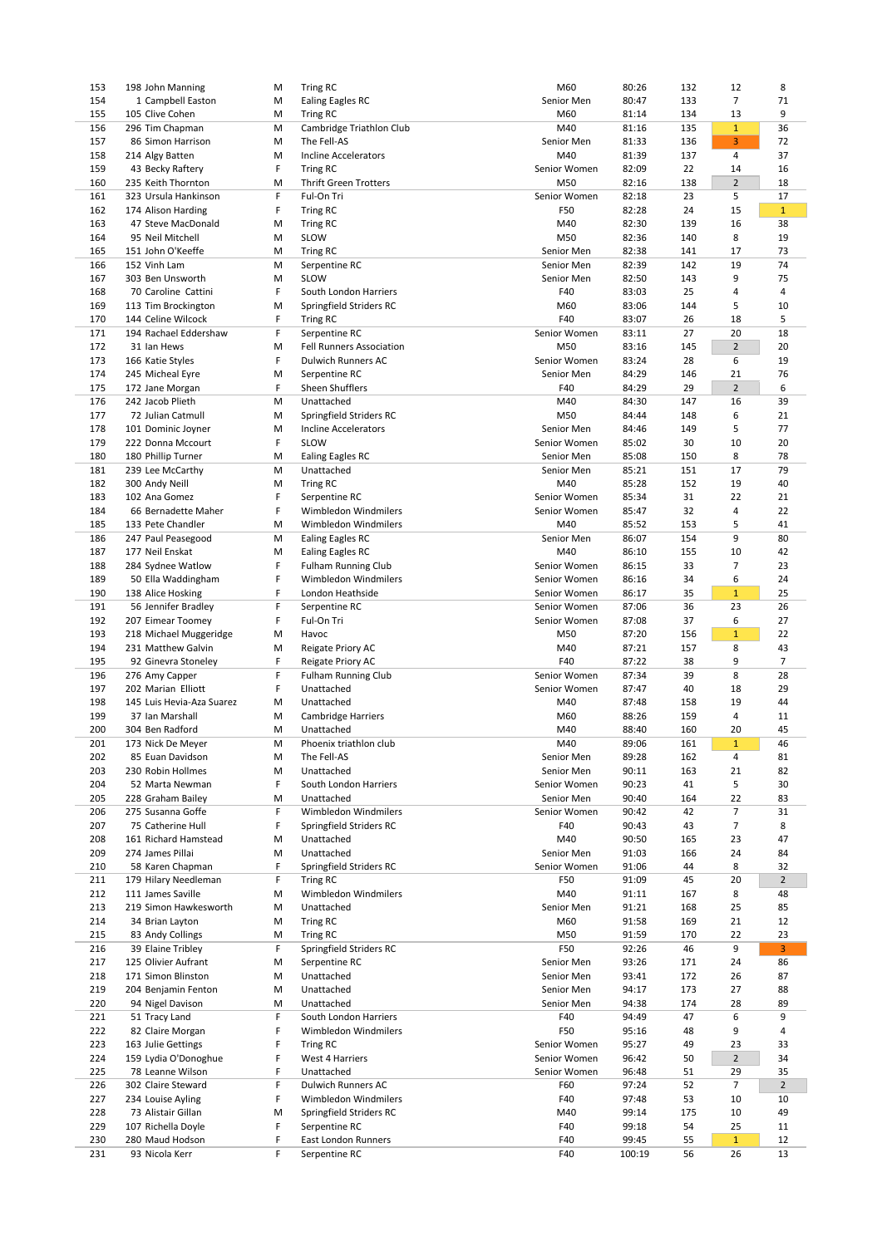| 153 | 198 John Manning          | M  | <b>Tring RC</b>                 | M60          | 80:26  | 132 | 12             | 8              |
|-----|---------------------------|----|---------------------------------|--------------|--------|-----|----------------|----------------|
| 154 | 1 Campbell Easton         | M  | <b>Ealing Eagles RC</b>         | Senior Men   | 80:47  | 133 | $\overline{7}$ | 71             |
| 155 | 105 Clive Cohen           | M  | <b>Tring RC</b>                 | M60          | 81:14  | 134 | 13             | 9              |
| 156 | 296 Tim Chapman           | M  | Cambridge Triathlon Club        | M40          | 81:16  | 135 | $\mathbf{1}$   | 36             |
| 157 | 86 Simon Harrison         | M  | The Fell-AS                     | Senior Men   | 81:33  | 136 | 3              | 72             |
| 158 | 214 Algy Batten           | M  | Incline Accelerators            | M40          | 81:39  | 137 | 4              | 37             |
| 159 | 43 Becky Raftery          | F  | <b>Tring RC</b>                 | Senior Women | 82:09  | 22  | 14             | 16             |
|     | 235 Keith Thornton        |    | <b>Thrift Green Trotters</b>    |              |        |     |                |                |
| 160 |                           | M  |                                 | M50          | 82:16  | 138 | $\overline{2}$ | 18             |
| 161 | 323 Ursula Hankinson      | F  | Ful-On Tri                      | Senior Women | 82:18  | 23  | 5              | 17             |
| 162 | 174 Alison Harding        | F  | <b>Tring RC</b>                 | F50          | 82:28  | 24  | 15             | $\mathbf{1}$   |
| 163 | 47 Steve MacDonald        | M  | <b>Tring RC</b>                 | M40          | 82:30  | 139 | 16             | 38             |
| 164 | 95 Neil Mitchell          | M  | SLOW                            | M50          | 82:36  | 140 | 8              | 19             |
| 165 | 151 John O'Keeffe         | M  | <b>Tring RC</b>                 | Senior Men   | 82:38  | 141 | 17             | 73             |
| 166 | 152 Vinh Lam              | M  | Serpentine RC                   | Senior Men   | 82:39  | 142 | 19             | 74             |
| 167 | 303 Ben Unsworth          | M  | SLOW                            | Senior Men   | 82:50  | 143 | 9              | 75             |
| 168 | 70 Caroline Cattini       | F  | South London Harriers           | F40          | 83:03  | 25  | 4              | 4              |
| 169 | 113 Tim Brockington       | M  | Springfield Striders RC         | M60          | 83:06  | 144 | 5              | 10             |
| 170 | 144 Celine Wilcock        | F. | <b>Tring RC</b>                 | F40          | 83:07  | 26  | 18             | 5              |
| 171 | 194 Rachael Eddershaw     | F  | Serpentine RC                   | Senior Women | 83:11  | 27  | 20             | 18             |
| 172 | 31 Ian Hews               | M  | <b>Fell Runners Association</b> | M50          | 83:16  | 145 | $\overline{2}$ | 20             |
| 173 | 166 Katie Styles          | F  | <b>Dulwich Runners AC</b>       | Senior Women | 83:24  | 28  | 6              | 19             |
|     |                           |    |                                 |              |        |     |                |                |
| 174 | 245 Micheal Eyre          | M  | Serpentine RC                   | Senior Men   | 84:29  | 146 | 21             | 76             |
| 175 | 172 Jane Morgan           | F. | Sheen Shufflers                 | F40          | 84:29  | 29  | $\overline{2}$ | 6              |
| 176 | 242 Jacob Plieth          | M  | Unattached                      | M40          | 84:30  | 147 | 16             | 39             |
| 177 | 72 Julian Catmull         | M  | Springfield Striders RC         | M50          | 84:44  | 148 | 6              | 21             |
| 178 | 101 Dominic Joyner        | M  | <b>Incline Accelerators</b>     | Senior Men   | 84:46  | 149 | 5              | 77             |
| 179 | 222 Donna Mccourt         | F  | <b>SLOW</b>                     | Senior Women | 85:02  | 30  | 10             | 20             |
| 180 | 180 Phillip Turner        | M  | <b>Ealing Eagles RC</b>         | Senior Men   | 85:08  | 150 | 8              | 78             |
| 181 | 239 Lee McCarthy          | M  | Unattached                      | Senior Men   | 85:21  | 151 | 17             | 79             |
| 182 | 300 Andy Neill            | M  | <b>Tring RC</b>                 | M40          | 85:28  | 152 | 19             | 40             |
| 183 | 102 Ana Gomez             | F  | Serpentine RC                   | Senior Women | 85:34  | 31  | 22             | 21             |
| 184 | 66 Bernadette Maher       | F. | Wimbledon Windmilers            | Senior Women | 85:47  | 32  | 4              | 22             |
| 185 | 133 Pete Chandler         | M  | Wimbledon Windmilers            | M40          | 85:52  | 153 | 5              | 41             |
|     |                           |    |                                 |              |        |     |                | 80             |
| 186 | 247 Paul Peasegood        | M  | <b>Ealing Eagles RC</b>         | Senior Men   | 86:07  | 154 | 9              |                |
| 187 | 177 Neil Enskat           | M  | Ealing Eagles RC                | M40          | 86:10  | 155 | 10             | 42             |
| 188 | 284 Sydnee Watlow         | F  | <b>Fulham Running Club</b>      | Senior Women | 86:15  | 33  | 7              | 23             |
| 189 | 50 Ella Waddingham        | F  | Wimbledon Windmilers            | Senior Women | 86:16  | 34  | 6              | 24             |
| 190 | 138 Alice Hosking         | F  | London Heathside                | Senior Women | 86:17  | 35  | $\mathbf{1}$   | 25             |
| 191 | 56 Jennifer Bradley       | F  | Serpentine RC                   | Senior Women | 87:06  | 36  | 23             | 26             |
| 192 | 207 Eimear Toomey         | F  | Ful-On Tri                      | Senior Women | 87:08  | 37  | 6              | 27             |
| 193 | 218 Michael Muggeridge    | M  | Havoc                           | M50          | 87:20  | 156 | $\mathbf{1}$   | 22             |
| 194 | 231 Matthew Galvin        | M  | Reigate Priory AC               | M40          | 87:21  | 157 | 8              | 43             |
| 195 | 92 Ginevra Stoneley       | F  | Reigate Priory AC               | F40          | 87:22  | 38  | 9              | $\overline{7}$ |
| 196 | 276 Amy Capper            | F  | <b>Fulham Running Club</b>      | Senior Women | 87:34  | 39  | 8              | 28             |
| 197 | 202 Marian Elliott        | F  | Unattached                      | Senior Women | 87:47  | 40  | 18             | 29             |
| 198 | 145 Luis Hevia-Aza Suarez | M  | Unattached                      | M40          | 87:48  | 158 | 19             | 44             |
|     |                           |    |                                 |              |        |     |                |                |
| 199 | 37 Ian Marshall           | M  | <b>Cambridge Harriers</b>       | M60          | 88:26  | 159 | 4              | 11             |
| 200 | 304 Ben Radford           | M  | Unattached                      | M40          | 88:40  | 160 | 20             | 45             |
| 201 | 173 Nick De Meyer         | M  | Phoenix triathlon club          | M40          | 89:06  | 161 | $\mathbf{1}$   | 46             |
| 202 | 85 Euan Davidson          | M  | The Fell-AS                     | Senior Men   | 89:28  | 162 | 4              | 81             |
| 203 | 230 Robin Hollmes         | M  | Unattached                      | Senior Men   | 90:11  | 163 | 21             | 82             |
| 204 | 52 Marta Newman           | F  | South London Harriers           | Senior Women | 90:23  | 41  | 5              | 30             |
| 205 | 228 Graham Bailey         | M  | Unattached                      | Senior Men   | 90:40  | 164 | 22             | 83             |
| 206 | 275 Susanna Goffe         | F  | Wimbledon Windmilers            | Senior Women | 90:42  | 42  | 7              | 31             |
| 207 | 75 Catherine Hull         | F. | Springfield Striders RC         | F40          | 90:43  | 43  | 7              | 8              |
| 208 | 161 Richard Hamstead      | M  | Unattached                      | M40          | 90:50  | 165 | 23             | 47             |
| 209 | 274 James Pillai          | M  | Unattached                      | Senior Men   | 91:03  | 166 | 24             | 84             |
| 210 | 58 Karen Chapman          | F  | Springfield Striders RC         | Senior Women | 91:06  | 44  | 8              | 32             |
| 211 | 179 Hilary Needleman      | F. | <b>Tring RC</b>                 | F50          | 91:09  | 45  | 20             | $\overline{2}$ |
| 212 | 111 James Saville         | M  | Wimbledon Windmilers            | M40          | 91:11  | 167 |                | 48             |
|     |                           |    |                                 |              |        |     | 8              |                |
| 213 | 219 Simon Hawkesworth     | M  | Unattached                      | Senior Men   | 91:21  | 168 | 25             | 85             |
| 214 | 34 Brian Layton           | M  | <b>Tring RC</b>                 | M60          | 91:58  | 169 | 21             | 12             |
| 215 | 83 Andy Collings          | M  | Tring RC                        | M50          | 91:59  | 170 | 22             | 23             |
| 216 | 39 Elaine Tribley         | F  | Springfield Striders RC         | F50          | 92:26  | 46  | 9              | 3              |
| 217 | 125 Olivier Aufrant       | M  | Serpentine RC                   | Senior Men   | 93:26  | 171 | 24             | 86             |
| 218 | 171 Simon Blinston        | M  | Unattached                      | Senior Men   | 93:41  | 172 | 26             | 87             |
| 219 | 204 Benjamin Fenton       | M  | Unattached                      | Senior Men   | 94:17  | 173 | 27             | 88             |
| 220 | 94 Nigel Davison          | M  | Unattached                      | Senior Men   | 94:38  | 174 | 28             | 89             |
| 221 | 51 Tracy Land             | F  | South London Harriers           | F40          | 94:49  | 47  | 6              | 9              |
| 222 | 82 Claire Morgan          | F  | Wimbledon Windmilers            | F50          | 95:16  | 48  | 9              | 4              |
| 223 | 163 Julie Gettings        | F  | <b>Tring RC</b>                 | Senior Women | 95:27  | 49  | 23             | 33             |
| 224 | 159 Lydia O'Donoghue      | F  | West 4 Harriers                 | Senior Women | 96:42  | 50  | $\overline{2}$ | 34             |
| 225 | 78 Leanne Wilson          | F  | Unattached                      | Senior Women | 96:48  | 51  | 29             | 35             |
|     |                           |    |                                 |              |        |     |                |                |
| 226 | 302 Claire Steward        | F. | <b>Dulwich Runners AC</b>       | F60          | 97:24  | 52  | 7              | $\overline{2}$ |
| 227 | 234 Louise Ayling         | F  | Wimbledon Windmilers            | F40          | 97:48  | 53  | 10             | 10             |
| 228 | 73 Alistair Gillan        | M  | Springfield Striders RC         | M40          | 99:14  | 175 | 10             | 49             |
| 229 | 107 Richella Doyle        | F  | Serpentine RC                   | F40          | 99:18  | 54  | 25             | 11             |
| 230 | 280 Maud Hodson           | F  | <b>East London Runners</b>      | F40          | 99:45  | 55  | $\mathbf{1}$   | 12             |
| 231 | 93 Nicola Kerr            | F. | Serpentine RC                   | F40          | 100:19 | 56  | 26             | 13             |